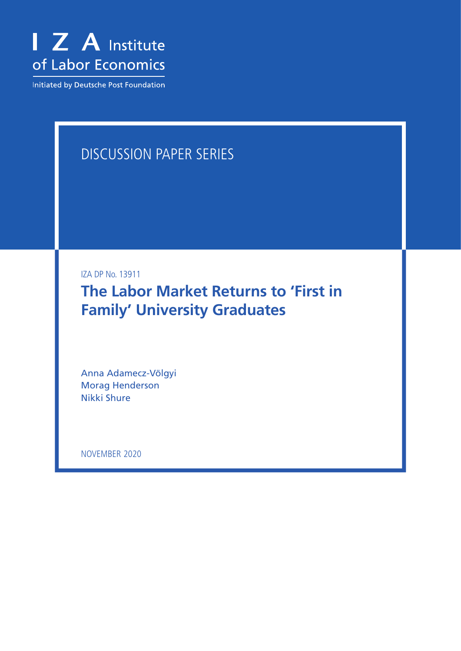

Initiated by Deutsche Post Foundation

## DISCUSSION PAPER SERIES

IZA DP No. 13911

**The Labor Market Returns to 'First in Family' University Graduates**

Anna Adamecz-Völgyi Morag Henderson Nikki Shure

NOVEMBER 2020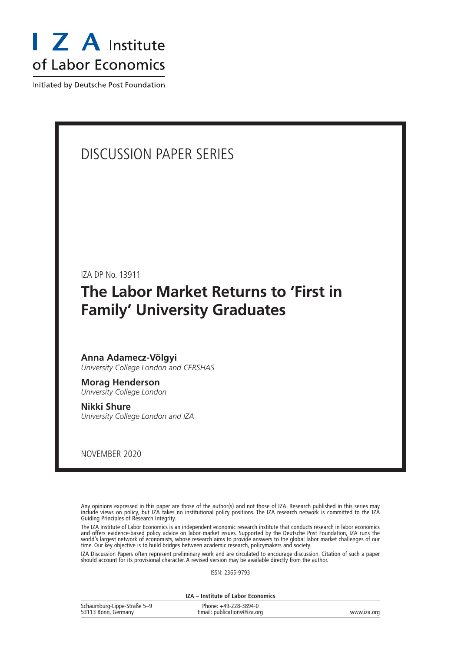

Initiated by Deutsche Post Foundation

## DISCUSSION PAPER SERIES

IZA DP No. 13911

## **The Labor Market Returns to 'First in Family' University Graduates**

#### **Anna Adamecz-Völgyi** *University College London and CERSHAS*

**Morag Henderson** *University College London*

**Nikki Shure** *University College London and IZA*

NOVEMBER 2020

Any opinions expressed in this paper are those of the author(s) and not those of IZA. Research published in this series may include views on policy, but IZA takes no institutional policy positions. The IZA research network is committed to the IZA Guiding Principles of Research Integrity.

The IZA Institute of Labor Economics is an independent economic research institute that conducts research in labor economics and offers evidence-based policy advice on labor market issues. Supported by the Deutsche Post Foundation, IZA runs the world's largest network of economists, whose research aims to provide answers to the global labor market challenges of our time. Our key objective is to build bridges between academic research, policymakers and society.

IZA Discussion Papers often represent preliminary work and are circulated to encourage discussion. Citation of such a paper should account for its provisional character. A revised version may be available directly from the author.

ISSN: 2365-9793

**IZA – Institute of Labor Economics**

| Schaumburg-Lippe-Straße 5-9 | Phone: +49-228-3894-0       |             |
|-----------------------------|-----------------------------|-------------|
| 53113 Bonn, Germany         | Email: publications@iza.org | www.iza.org |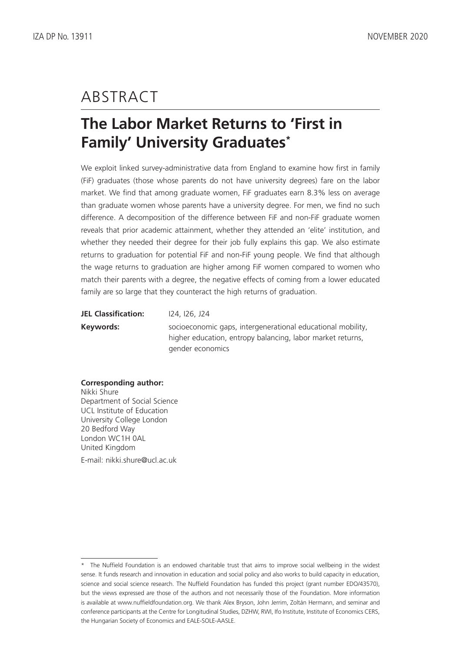## ABSTRACT

## **The Labor Market Returns to 'First in Family' University Graduates\***

We exploit linked survey-administrative data from England to examine how first in family (FiF) graduates (those whose parents do not have university degrees) fare on the labor market. We find that among graduate women, FiF graduates earn 8.3% less on average than graduate women whose parents have a university degree. For men, we find no such difference. A decomposition of the difference between FiF and non-FiF graduate women reveals that prior academic attainment, whether they attended an 'elite' institution, and whether they needed their degree for their job fully explains this gap. We also estimate returns to graduation for potential FiF and non-FiF young people. We find that although the wage returns to graduation are higher among FiF women compared to women who match their parents with a degree, the negative effects of coming from a lower educated family are so large that they counteract the high returns of graduation.

| <b>JEL Classification:</b> | <u>124, 126, J24</u>                                                                                                                          |
|----------------------------|-----------------------------------------------------------------------------------------------------------------------------------------------|
| Keywords:                  | socioeconomic gaps, intergenerational educational mobility,<br>higher education, entropy balancing, labor market returns,<br>gender economics |

#### **Corresponding author:**

Nikki Shure Department of Social Science UCL Institute of Education University College London 20 Bedford Way London WC1H 0AL United Kingdom E-mail: nikki.shure@ucl.ac.uk

<sup>\*</sup> The Nuffield Foundation is an endowed charitable trust that aims to improve social wellbeing in the widest sense. It funds research and innovation in education and social policy and also works to build capacity in education, science and social science research. The Nuffield Foundation has funded this project (grant number EDO/43570), but the views expressed are those of the authors and not necessarily those of the Foundation. More information is available at www.nuffieldfoundation.org. We thank Alex Bryson, John Jerrim, Zoltán Hermann, and seminar and conference participants at the Centre for Longitudinal Studies, DZHW, RWI, Ifo Institute, Institute of Economics CERS, the Hungarian Society of Economics and EALE-SOLE-AASLE.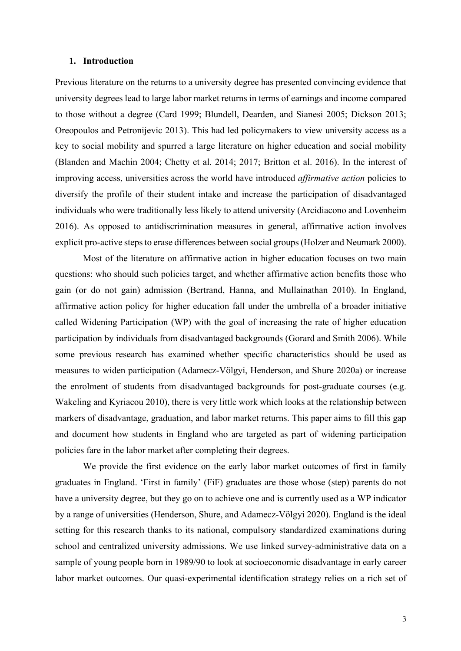#### **1. Introduction**

Previous literature on the returns to a university degree has presented convincing evidence that university degrees lead to large labor market returns in terms of earnings and income compared to those without a degree (Card 1999; Blundell, Dearden, and Sianesi 2005; Dickson 2013; Oreopoulos and Petronijevic 2013). This had led policymakers to view university access as a key to social mobility and spurred a large literature on higher education and social mobility (Blanden and Machin 2004; Chetty et al. 2014; 2017; Britton et al. 2016). In the interest of improving access, universities across the world have introduced *affirmative action* policies to diversify the profile of their student intake and increase the participation of disadvantaged individuals who were traditionally less likely to attend university (Arcidiacono and Lovenheim 2016). As opposed to antidiscrimination measures in general, affirmative action involves explicit pro-active steps to erase differences between social groups (Holzer and Neumark 2000).

Most of the literature on affirmative action in higher education focuses on two main questions: who should such policies target, and whether affirmative action benefits those who gain (or do not gain) admission (Bertrand, Hanna, and Mullainathan 2010). In England, affirmative action policy for higher education fall under the umbrella of a broader initiative called Widening Participation (WP) with the goal of increasing the rate of higher education participation by individuals from disadvantaged backgrounds (Gorard and Smith 2006). While some previous research has examined whether specific characteristics should be used as measures to widen participation (Adamecz-Völgyi, Henderson, and Shure 2020a) or increase the enrolment of students from disadvantaged backgrounds for post-graduate courses (e.g. Wakeling and Kyriacou 2010), there is very little work which looks at the relationship between markers of disadvantage, graduation, and labor market returns. This paper aims to fill this gap and document how students in England who are targeted as part of widening participation policies fare in the labor market after completing their degrees.

We provide the first evidence on the early labor market outcomes of first in family graduates in England. 'First in family' (FiF) graduates are those whose (step) parents do not have a university degree, but they go on to achieve one and is currently used as a WP indicator by a range of universities (Henderson, Shure, and Adamecz-Völgyi 2020). England is the ideal setting for this research thanks to its national, compulsory standardized examinations during school and centralized university admissions. We use linked survey-administrative data on a sample of young people born in 1989/90 to look at socioeconomic disadvantage in early career labor market outcomes. Our quasi-experimental identification strategy relies on a rich set of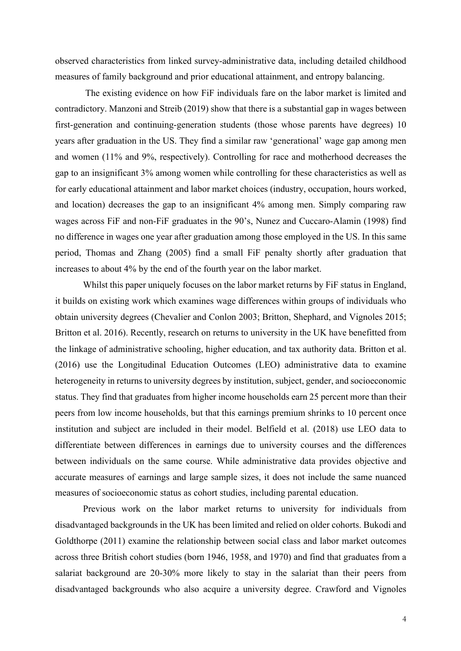observed characteristics from linked survey-administrative data, including detailed childhood measures of family background and prior educational attainment, and entropy balancing.

The existing evidence on how FiF individuals fare on the labor market is limited and contradictory. Manzoni and Streib (2019) show that there is a substantial gap in wages between first-generation and continuing-generation students (those whose parents have degrees) 10 years after graduation in the US. They find a similar raw 'generational' wage gap among men and women (11% and 9%, respectively). Controlling for race and motherhood decreases the gap to an insignificant 3% among women while controlling for these characteristics as well as for early educational attainment and labor market choices (industry, occupation, hours worked, and location) decreases the gap to an insignificant 4% among men. Simply comparing raw wages across FiF and non-FiF graduates in the 90's, Nunez and Cuccaro-Alamin (1998) find no difference in wages one year after graduation among those employed in the US. In this same period, Thomas and Zhang (2005) find a small FiF penalty shortly after graduation that increases to about 4% by the end of the fourth year on the labor market.

Whilst this paper uniquely focuses on the labor market returns by FiF status in England, it builds on existing work which examines wage differences within groups of individuals who obtain university degrees (Chevalier and Conlon 2003; Britton, Shephard, and Vignoles 2015; Britton et al. 2016). Recently, research on returns to university in the UK have benefitted from the linkage of administrative schooling, higher education, and tax authority data. Britton et al. (2016) use the Longitudinal Education Outcomes (LEO) administrative data to examine heterogeneity in returns to university degrees by institution, subject, gender, and socioeconomic status. They find that graduates from higher income households earn 25 percent more than their peers from low income households, but that this earnings premium shrinks to 10 percent once institution and subject are included in their model. Belfield et al. (2018) use LEO data to differentiate between differences in earnings due to university courses and the differences between individuals on the same course. While administrative data provides objective and accurate measures of earnings and large sample sizes, it does not include the same nuanced measures of socioeconomic status as cohort studies, including parental education.

Previous work on the labor market returns to university for individuals from disadvantaged backgrounds in the UK has been limited and relied on older cohorts. Bukodi and Goldthorpe (2011) examine the relationship between social class and labor market outcomes across three British cohort studies (born 1946, 1958, and 1970) and find that graduates from a salariat background are 20-30% more likely to stay in the salariat than their peers from disadvantaged backgrounds who also acquire a university degree. Crawford and Vignoles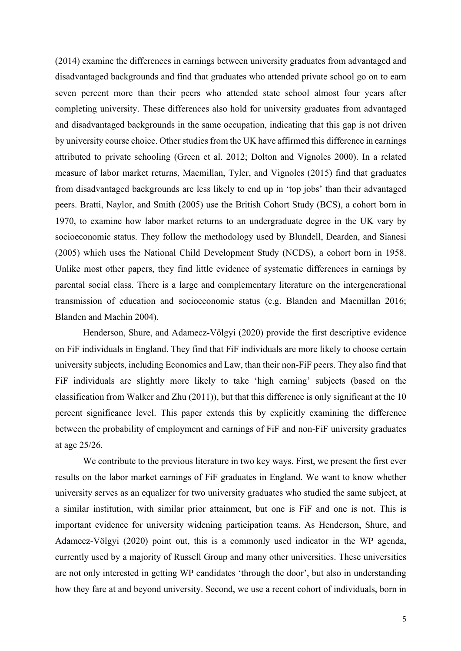(2014) examine the differences in earnings between university graduates from advantaged and disadvantaged backgrounds and find that graduates who attended private school go on to earn seven percent more than their peers who attended state school almost four years after completing university. These differences also hold for university graduates from advantaged and disadvantaged backgrounds in the same occupation, indicating that this gap is not driven by university course choice. Other studies from the UK have affirmed this difference in earnings attributed to private schooling (Green et al. 2012; Dolton and Vignoles 2000). In a related measure of labor market returns, Macmillan, Tyler, and Vignoles (2015) find that graduates from disadvantaged backgrounds are less likely to end up in 'top jobs' than their advantaged peers. Bratti, Naylor, and Smith (2005) use the British Cohort Study (BCS), a cohort born in 1970, to examine how labor market returns to an undergraduate degree in the UK vary by socioeconomic status. They follow the methodology used by Blundell, Dearden, and Sianesi (2005) which uses the National Child Development Study (NCDS), a cohort born in 1958. Unlike most other papers, they find little evidence of systematic differences in earnings by parental social class. There is a large and complementary literature on the intergenerational transmission of education and socioeconomic status (e.g. Blanden and Macmillan 2016; Blanden and Machin 2004).

Henderson, Shure, and Adamecz-Völgyi (2020) provide the first descriptive evidence on FiF individuals in England. They find that FiF individuals are more likely to choose certain university subjects, including Economics and Law, than their non-FiF peers. They also find that FiF individuals are slightly more likely to take 'high earning' subjects (based on the classification from Walker and Zhu (2011)), but that this difference is only significant at the 10 percent significance level. This paper extends this by explicitly examining the difference between the probability of employment and earnings of FiF and non-FiF university graduates at age 25/26.

We contribute to the previous literature in two key ways. First, we present the first ever results on the labor market earnings of FiF graduates in England. We want to know whether university serves as an equalizer for two university graduates who studied the same subject, at a similar institution, with similar prior attainment, but one is FiF and one is not. This is important evidence for university widening participation teams. As Henderson, Shure, and Adamecz-Völgyi (2020) point out, this is a commonly used indicator in the WP agenda, currently used by a majority of Russell Group and many other universities. These universities are not only interested in getting WP candidates 'through the door', but also in understanding how they fare at and beyond university. Second, we use a recent cohort of individuals, born in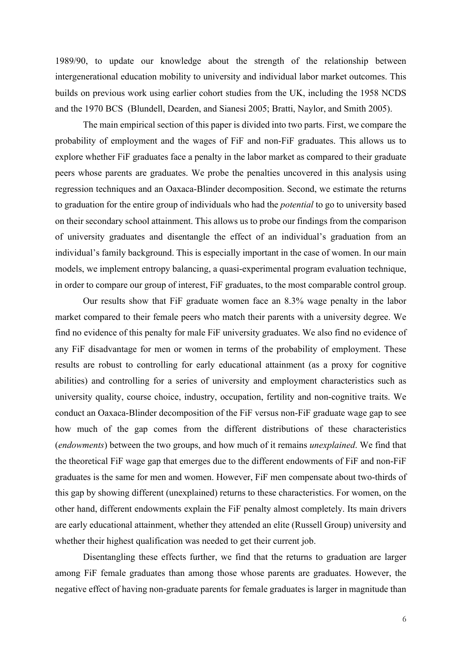1989/90, to update our knowledge about the strength of the relationship between intergenerational education mobility to university and individual labor market outcomes. This builds on previous work using earlier cohort studies from the UK, including the 1958 NCDS and the 1970 BCS (Blundell, Dearden, and Sianesi 2005; Bratti, Naylor, and Smith 2005).

The main empirical section of this paper is divided into two parts. First, we compare the probability of employment and the wages of FiF and non-FiF graduates. This allows us to explore whether FiF graduates face a penalty in the labor market as compared to their graduate peers whose parents are graduates. We probe the penalties uncovered in this analysis using regression techniques and an Oaxaca-Blinder decomposition. Second, we estimate the returns to graduation for the entire group of individuals who had the *potential* to go to university based on their secondary school attainment. This allows us to probe our findings from the comparison of university graduates and disentangle the effect of an individual's graduation from an individual's family background. This is especially important in the case of women. In our main models, we implement entropy balancing, a quasi-experimental program evaluation technique, in order to compare our group of interest, FiF graduates, to the most comparable control group.

Our results show that FiF graduate women face an 8.3% wage penalty in the labor market compared to their female peers who match their parents with a university degree. We find no evidence of this penalty for male FiF university graduates. We also find no evidence of any FiF disadvantage for men or women in terms of the probability of employment. These results are robust to controlling for early educational attainment (as a proxy for cognitive abilities) and controlling for a series of university and employment characteristics such as university quality, course choice, industry, occupation, fertility and non-cognitive traits. We conduct an Oaxaca-Blinder decomposition of the FiF versus non-FiF graduate wage gap to see how much of the gap comes from the different distributions of these characteristics (*endowments*) between the two groups, and how much of it remains *unexplained*. We find that the theoretical FiF wage gap that emerges due to the different endowments of FiF and non-FiF graduates is the same for men and women. However, FiF men compensate about two-thirds of this gap by showing different (unexplained) returns to these characteristics. For women, on the other hand, different endowments explain the FiF penalty almost completely. Its main drivers are early educational attainment, whether they attended an elite (Russell Group) university and whether their highest qualification was needed to get their current job.

Disentangling these effects further, we find that the returns to graduation are larger among FiF female graduates than among those whose parents are graduates. However, the negative effect of having non-graduate parents for female graduates is larger in magnitude than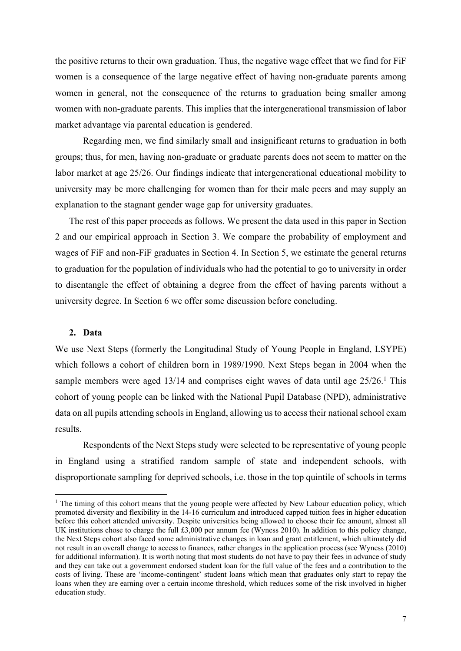the positive returns to their own graduation. Thus, the negative wage effect that we find for FiF women is a consequence of the large negative effect of having non-graduate parents among women in general, not the consequence of the returns to graduation being smaller among women with non-graduate parents. This implies that the intergenerational transmission of labor market advantage via parental education is gendered.

Regarding men, we find similarly small and insignificant returns to graduation in both groups; thus, for men, having non-graduate or graduate parents does not seem to matter on the labor market at age 25/26. Our findings indicate that intergenerational educational mobility to university may be more challenging for women than for their male peers and may supply an explanation to the stagnant gender wage gap for university graduates.

The rest of this paper proceeds as follows. We present the data used in this paper in Section 2 and our empirical approach in Section 3. We compare the probability of employment and wages of FiF and non-FiF graduates in Section 4. In Section 5, we estimate the general returns to graduation for the population of individuals who had the potential to go to university in order to disentangle the effect of obtaining a degree from the effect of having parents without a university degree. In Section 6 we offer some discussion before concluding.

## **2. Data**

We use Next Steps (formerly the Longitudinal Study of Young People in England, LSYPE) which follows a cohort of children born in 1989/1990. Next Steps began in 2004 when the sample members were aged 13/14 and comprises eight waves of data until age 25/26.<sup>1</sup> This cohort of young people can be linked with the National Pupil Database (NPD), administrative data on all pupils attending schools in England, allowing us to access their national school exam results.

Respondents of the Next Steps study were selected to be representative of young people in England using a stratified random sample of state and independent schools, with disproportionate sampling for deprived schools, i.e. those in the top quintile of schools in terms

 $1$  The timing of this cohort means that the young people were affected by New Labour education policy, which promoted diversity and flexibility in the 14-16 curriculum and introduced capped tuition fees in higher education before this cohort attended university. Despite universities being allowed to choose their fee amount, almost all UK institutions chose to charge the full £3,000 per annum fee (Wyness 2010). In addition to this policy change, the Next Steps cohort also faced some administrative changes in loan and grant entitlement, which ultimately did not result in an overall change to access to finances, rather changes in the application process (see Wyness (2010) for additional information). It is worth noting that most students do not have to pay their fees in advance of study and they can take out a government endorsed student loan for the full value of the fees and a contribution to the costs of living. These are 'income-contingent' student loans which mean that graduates only start to repay the loans when they are earning over a certain income threshold, which reduces some of the risk involved in higher education study.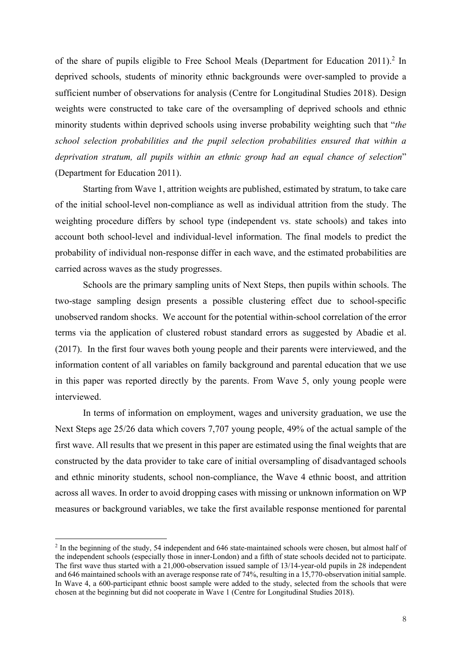of the share of pupils eligible to Free School Meals (Department for Education 2011). <sup>2</sup> In deprived schools, students of minority ethnic backgrounds were over-sampled to provide a sufficient number of observations for analysis (Centre for Longitudinal Studies 2018). Design weights were constructed to take care of the oversampling of deprived schools and ethnic minority students within deprived schools using inverse probability weighting such that "*the school selection probabilities and the pupil selection probabilities ensured that within a deprivation stratum, all pupils within an ethnic group had an equal chance of selection*" (Department for Education 2011).

Starting from Wave 1, attrition weights are published, estimated by stratum, to take care of the initial school-level non-compliance as well as individual attrition from the study. The weighting procedure differs by school type (independent vs. state schools) and takes into account both school-level and individual-level information. The final models to predict the probability of individual non-response differ in each wave, and the estimated probabilities are carried across waves as the study progresses.

Schools are the primary sampling units of Next Steps, then pupils within schools. The two-stage sampling design presents a possible clustering effect due to school-specific unobserved random shocks. We account for the potential within-school correlation of the error terms via the application of clustered robust standard errors as suggested by Abadie et al. (2017). In the first four waves both young people and their parents were interviewed, and the information content of all variables on family background and parental education that we use in this paper was reported directly by the parents. From Wave 5, only young people were interviewed.

In terms of information on employment, wages and university graduation, we use the Next Steps age 25/26 data which covers 7,707 young people, 49% of the actual sample of the first wave. All results that we present in this paper are estimated using the final weights that are constructed by the data provider to take care of initial oversampling of disadvantaged schools and ethnic minority students, school non-compliance, the Wave 4 ethnic boost, and attrition across all waves. In order to avoid dropping cases with missing or unknown information on WP measures or background variables, we take the first available response mentioned for parental

<sup>&</sup>lt;sup>2</sup> In the beginning of the study, 54 independent and 646 state-maintained schools were chosen, but almost half of the independent schools (especially those in inner-London) and a fifth of state schools decided not to participate. The first wave thus started with a 21,000-observation issued sample of 13/14-year-old pupils in 28 independent and 646 maintained schools with an average response rate of 74%, resulting in a 15,770-observation initial sample. In Wave 4, a 600-participant ethnic boost sample were added to the study, selected from the schools that were chosen at the beginning but did not cooperate in Wave 1 (Centre for Longitudinal Studies 2018).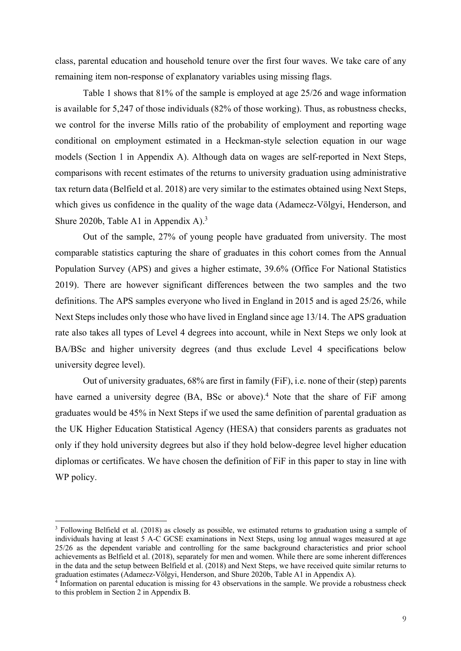class, parental education and household tenure over the first four waves. We take care of any remaining item non-response of explanatory variables using missing flags.

Table 1 shows that 81% of the sample is employed at age 25/26 and wage information is available for 5,247 of those individuals (82% of those working). Thus, as robustness checks, we control for the inverse Mills ratio of the probability of employment and reporting wage conditional on employment estimated in a Heckman-style selection equation in our wage models (Section 1 in Appendix A). Although data on wages are self-reported in Next Steps, comparisons with recent estimates of the returns to university graduation using administrative tax return data (Belfield et al. 2018) are very similar to the estimates obtained using Next Steps, which gives us confidence in the quality of the wage data (Adamecz-Völgyi, Henderson, and Shure 2020b, Table A1 in Appendix A).<sup>3</sup>

Out of the sample, 27% of young people have graduated from university. The most comparable statistics capturing the share of graduates in this cohort comes from the Annual Population Survey (APS) and gives a higher estimate, 39.6% (Office For National Statistics 2019). There are however significant differences between the two samples and the two definitions. The APS samples everyone who lived in England in 2015 and is aged 25/26, while Next Steps includes only those who have lived in England since age 13/14. The APS graduation rate also takes all types of Level 4 degrees into account, while in Next Steps we only look at BA/BSc and higher university degrees (and thus exclude Level 4 specifications below university degree level).

Out of university graduates, 68% are first in family (FiF), i.e. none of their (step) parents have earned a university degree  $(BA, BSc \text{ or above})$ .<sup>4</sup> Note that the share of FiF among graduates would be 45% in Next Steps if we used the same definition of parental graduation as the UK Higher Education Statistical Agency (HESA) that considers parents as graduates not only if they hold university degrees but also if they hold below-degree level higher education diplomas or certificates. We have chosen the definition of FiF in this paper to stay in line with WP policy.

 $3$  Following Belfield et al. (2018) as closely as possible, we estimated returns to graduation using a sample of individuals having at least 5 A-C GCSE examinations in Next Steps, using log annual wages measured at age 25/26 as the dependent variable and controlling for the same background characteristics and prior school achievements as Belfield et al. (2018), separately for men and women. While there are some inherent differences in the data and the setup between Belfield et al. (2018) and Next Steps, we have received quite similar returns to graduation estimates (Adamecz-Völgyi, Henderson, and Shure 2020b, Table A1 in Appendix A).<br><sup>4</sup> Information on parental education is missing for 43 observations in the sample. We provide a robustness check

to this problem in Section 2 in Appendix B.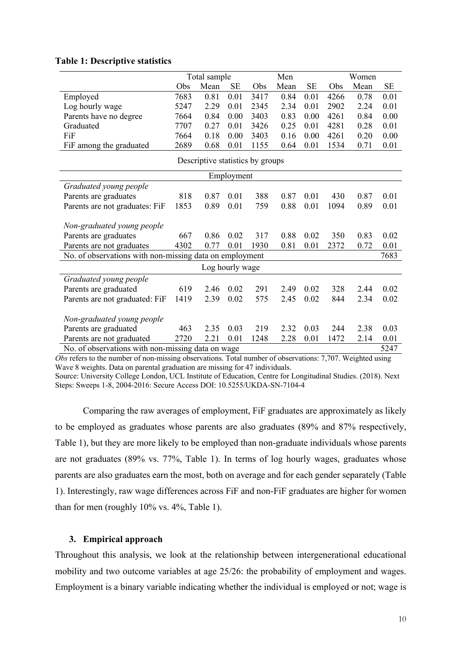#### **Table 1: Descriptive statistics**

|                                                         |      | Total sample |                 |      | Men  |           |      | Women |           |
|---------------------------------------------------------|------|--------------|-----------------|------|------|-----------|------|-------|-----------|
|                                                         | Obs  | Mean         | <b>SE</b>       | Obs  | Mean | <b>SE</b> | Obs  | Mean  | <b>SE</b> |
| Employed                                                | 7683 | 0.81         | 0.01            | 3417 | 0.84 | 0.01      | 4266 | 0.78  | 0.01      |
| Log hourly wage                                         | 5247 | 2.29         | 0.01            | 2345 | 2.34 | 0.01      | 2902 | 2.24  | 0.01      |
| Parents have no degree                                  | 7664 | 0.84         | 0.00            | 3403 | 0.83 | 0.00      | 4261 | 0.84  | 0.00      |
| Graduated                                               | 7707 | 0.27         | 0.01            | 3426 | 0.25 | 0.01      | 4281 | 0.28  | 0.01      |
| FiF                                                     | 7664 | 0.18         | 0.00            | 3403 | 0.16 | 0.00      | 4261 | 0.20  | 0.00      |
| FiF among the graduated                                 | 2689 | 0.68         | 0.01            | 1155 | 0.64 | 0.01      | 1534 | 0.71  | 0.01      |
| Descriptive statistics by groups                        |      |              |                 |      |      |           |      |       |           |
|                                                         |      |              | Employment      |      |      |           |      |       |           |
| Graduated young people                                  |      |              |                 |      |      |           |      |       |           |
| Parents are graduates                                   | 818  | 0.87         | 0.01            | 388  | 0.87 | 0.01      | 430  | 0.87  | 0.01      |
| Parents are not graduates: FiF                          | 1853 | 0.89         | 0.01            | 759  | 0.88 | 0.01      | 1094 | 0.89  | 0.01      |
|                                                         |      |              |                 |      |      |           |      |       |           |
| Non-graduated young people                              |      |              |                 |      |      |           |      |       |           |
| Parents are graduates                                   | 667  | 0.86         | 0.02            | 317  | 0.88 | 0.02      | 350  | 0.83  | 0.02      |
| Parents are not graduates                               | 4302 | 0.77         | 0.01            | 1930 | 0.81 | 0.01      | 2372 | 0.72  | 0.01      |
| No. of observations with non-missing data on employment |      |              |                 |      |      |           |      |       | 7683      |
|                                                         |      |              | Log hourly wage |      |      |           |      |       |           |
| Graduated young people                                  |      |              |                 |      |      |           |      |       |           |
| Parents are graduated                                   | 619  | 2.46         | 0.02            | 291  | 2.49 | 0.02      | 328  | 2.44  | 0.02      |
| Parents are not graduated: FiF                          | 1419 | 2.39         | 0.02            | 575  | 2.45 | 0.02      | 844  | 2.34  | 0.02      |
|                                                         |      |              |                 |      |      |           |      |       |           |
| Non-graduated young people                              |      |              |                 |      |      |           |      |       |           |
| Parents are graduated                                   | 463  | 2.35         | 0.03            | 219  | 2.32 | 0.03      | 244  | 2.38  | 0.03      |
| Parents are not graduated                               | 2720 | 2.21         | 0.01            | 1248 | 2.28 | 0.01      | 1472 | 2.14  | 0.01      |
| No. of observations with non-missing data on wage       |      |              |                 |      |      |           |      |       | 5247      |

*Obs* refers to the number of non-missing observations. Total number of observations: 7,707. Weighted using Wave 8 weights. Data on parental graduation are missing for 47 individuals.

Source: University College London, UCL Institute of Education, Centre for Longitudinal Studies. (2018). Next Steps: Sweeps 1-8, 2004-2016: Secure Access DOI: 10.5255/UKDA-SN-7104-4

Comparing the raw averages of employment, FiF graduates are approximately as likely to be employed as graduates whose parents are also graduates (89% and 87% respectively, Table 1), but they are more likely to be employed than non-graduate individuals whose parents are not graduates (89% vs. 77%, Table 1). In terms of log hourly wages, graduates whose parents are also graduates earn the most, both on average and for each gender separately (Table 1). Interestingly, raw wage differences across FiF and non-FiF graduates are higher for women than for men (roughly 10% vs. 4%, Table 1).

## **3. Empirical approach**

Throughout this analysis, we look at the relationship between intergenerational educational mobility and two outcome variables at age 25/26: the probability of employment and wages. Employment is a binary variable indicating whether the individual is employed or not; wage is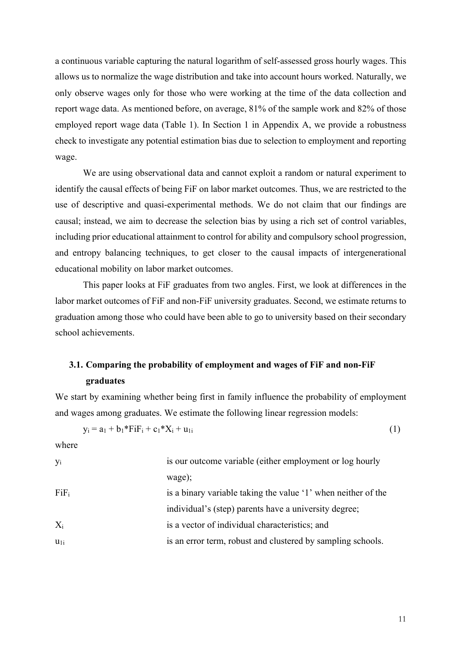a continuous variable capturing the natural logarithm of self-assessed gross hourly wages. This allows us to normalize the wage distribution and take into account hours worked. Naturally, we only observe wages only for those who were working at the time of the data collection and report wage data. As mentioned before, on average, 81% of the sample work and 82% of those employed report wage data (Table 1). In Section 1 in Appendix A, we provide a robustness check to investigate any potential estimation bias due to selection to employment and reporting wage.

We are using observational data and cannot exploit a random or natural experiment to identify the causal effects of being FiF on labor market outcomes. Thus, we are restricted to the use of descriptive and quasi-experimental methods. We do not claim that our findings are causal; instead, we aim to decrease the selection bias by using a rich set of control variables, including prior educational attainment to control for ability and compulsory school progression, and entropy balancing techniques, to get closer to the causal impacts of intergenerational educational mobility on labor market outcomes.

This paper looks at FiF graduates from two angles. First, we look at differences in the labor market outcomes of FiF and non-FiF university graduates. Second, we estimate returns to graduation among those who could have been able to go to university based on their secondary school achievements.

# **3.1. Comparing the probability of employment and wages of FiF and non-FiF**

### **graduates**

We start by examining whether being first in family influence the probability of employment and wages among graduates. We estimate the following linear regression models:

$$
y_i = a_1 + b_1 * FiF_i + c_1 * X_i + u_{1i}
$$
 (1)

where

| Уi       | is our outcome variable (either employment or log hourly      |
|----------|---------------------------------------------------------------|
|          | wage);                                                        |
| $FiF_i$  | is a binary variable taking the value '1' when neither of the |
|          | individual's (step) parents have a university degree;         |
| $X_i$    | is a vector of individual characteristics; and                |
| $u_{1i}$ | is an error term, robust and clustered by sampling schools.   |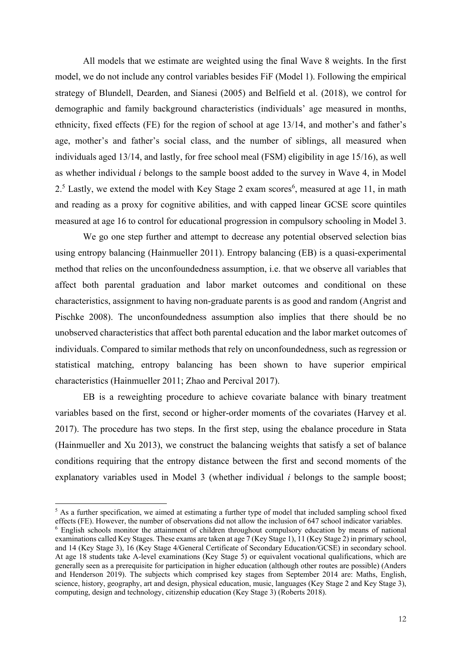All models that we estimate are weighted using the final Wave 8 weights. In the first model, we do not include any control variables besides FiF (Model 1). Following the empirical strategy of Blundell, Dearden, and Sianesi (2005) and Belfield et al. (2018), we control for demographic and family background characteristics (individuals' age measured in months, ethnicity, fixed effects (FE) for the region of school at age 13/14, and mother's and father's age, mother's and father's social class, and the number of siblings, all measured when individuals aged 13/14, and lastly, for free school meal (FSM) eligibility in age 15/16), as well as whether individual *i* belongs to the sample boost added to the survey in Wave 4, in Model  $2<sup>5</sup>$  Lastly, we extend the model with Key Stage 2 exam scores<sup>6</sup>, measured at age 11, in math and reading as a proxy for cognitive abilities, and with capped linear GCSE score quintiles measured at age 16 to control for educational progression in compulsory schooling in Model 3.

We go one step further and attempt to decrease any potential observed selection bias using entropy balancing (Hainmueller 2011). Entropy balancing (EB) is a quasi-experimental method that relies on the unconfoundedness assumption, i.e. that we observe all variables that affect both parental graduation and labor market outcomes and conditional on these characteristics, assignment to having non-graduate parents is as good and random (Angrist and Pischke 2008). The unconfoundedness assumption also implies that there should be no unobserved characteristics that affect both parental education and the labor market outcomes of individuals. Compared to similar methods that rely on unconfoundedness, such as regression or statistical matching, entropy balancing has been shown to have superior empirical characteristics (Hainmueller 2011; Zhao and Percival 2017).

EB is a reweighting procedure to achieve covariate balance with binary treatment variables based on the first, second or higher-order moments of the covariates (Harvey et al. 2017). The procedure has two steps. In the first step, using the ebalance procedure in Stata (Hainmueller and Xu 2013), we construct the balancing weights that satisfy a set of balance conditions requiring that the entropy distance between the first and second moments of the explanatory variables used in Model 3 (whether individual *i* belongs to the sample boost;

 $<sup>5</sup>$  As a further specification, we aimed at estimating a further type of model that included sampling school fixed</sup> effects (FE). However, the number of observations did not allow the inclusion of 647 school indicator variables.

<sup>&</sup>lt;sup>6</sup> English schools monitor the attainment of children throughout compulsory education by means of national examinations called Key Stages. These exams are taken at age 7 (Key Stage 1), 11 (Key Stage 2) in primary school, and 14 (Key Stage 3), 16 (Key Stage 4/General Certificate of Secondary Education/GCSE) in secondary school. At age 18 students take A-level examinations (Key Stage 5) or equivalent vocational qualifications, which are generally seen as a prerequisite for participation in higher education (although other routes are possible) (Anders and Henderson 2019). The subjects which comprised key stages from September 2014 are: Maths, English, science, history, geography, art and design, physical education, music, languages (Key Stage 2 and Key Stage 3), computing, design and technology, citizenship education (Key Stage 3) (Roberts 2018).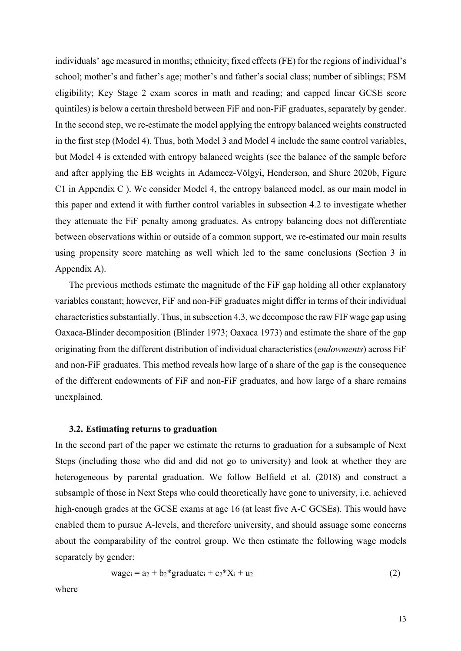individuals' age measured in months; ethnicity; fixed effects (FE) for the regions of individual's school; mother's and father's age; mother's and father's social class; number of siblings; FSM eligibility; Key Stage 2 exam scores in math and reading; and capped linear GCSE score quintiles) is below a certain threshold between FiF and non-FiF graduates, separately by gender. In the second step, we re-estimate the model applying the entropy balanced weights constructed in the first step (Model 4). Thus, both Model 3 and Model 4 include the same control variables, but Model 4 is extended with entropy balanced weights (see the balance of the sample before and after applying the EB weights in Adamecz-Völgyi, Henderson, and Shure 2020b, Figure C1 in Appendix C ). We consider Model 4, the entropy balanced model, as our main model in this paper and extend it with further control variables in subsection 4.2 to investigate whether they attenuate the FiF penalty among graduates. As entropy balancing does not differentiate between observations within or outside of a common support, we re-estimated our main results using propensity score matching as well which led to the same conclusions (Section 3 in Appendix A).

The previous methods estimate the magnitude of the FiF gap holding all other explanatory variables constant; however, FiF and non-FiF graduates might differ in terms of their individual characteristics substantially. Thus, in subsection 4.3, we decompose the raw FIF wage gap using Oaxaca-Blinder decomposition (Blinder 1973; Oaxaca 1973) and estimate the share of the gap originating from the different distribution of individual characteristics (*endowments*) across FiF and non-FiF graduates. This method reveals how large of a share of the gap is the consequence of the different endowments of FiF and non-FiF graduates, and how large of a share remains unexplained.

#### **3.2. Estimating returns to graduation**

In the second part of the paper we estimate the returns to graduation for a subsample of Next Steps (including those who did and did not go to university) and look at whether they are heterogeneous by parental graduation. We follow Belfield et al. (2018) and construct a subsample of those in Next Steps who could theoretically have gone to university, i.e. achieved high-enough grades at the GCSE exams at age 16 (at least five A-C GCSEs). This would have enabled them to pursue A-levels, and therefore university, and should assuage some concerns about the comparability of the control group. We then estimate the following wage models separately by gender:

$$
wage_i = a_2 + b_2 * graduate_i + c_2 * X_i + u_{2i}
$$
 (2)

where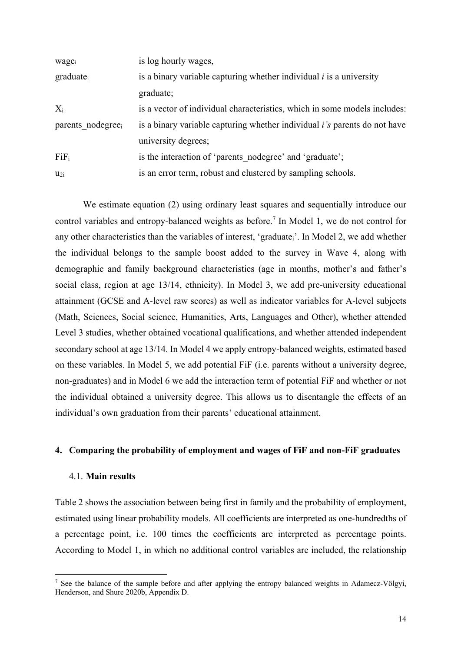| wagei                         | is log hourly wages,                                                             |
|-------------------------------|----------------------------------------------------------------------------------|
| $graduate_i$                  | is a binary variable capturing whether individual $i$ is a university            |
|                               | graduate;                                                                        |
| $X_i$                         | is a vector of individual characteristics, which in some models includes:        |
| parents nodegree <sub>i</sub> | is a binary variable capturing whether individual <i>i's</i> parents do not have |
|                               | university degrees;                                                              |
| $FiF_i$                       | is the interaction of 'parents nodegree' and 'graduate';                         |
| $u_{2i}$                      | is an error term, robust and clustered by sampling schools.                      |

We estimate equation (2) using ordinary least squares and sequentially introduce our control variables and entropy-balanced weights as before.<sup>7</sup> In Model 1, we do not control for any other characteristics than the variables of interest, 'graduatei'. In Model 2, we add whether the individual belongs to the sample boost added to the survey in Wave 4, along with demographic and family background characteristics (age in months, mother's and father's social class, region at age 13/14, ethnicity). In Model 3, we add pre-university educational attainment (GCSE and A-level raw scores) as well as indicator variables for A-level subjects (Math, Sciences, Social science, Humanities, Arts, Languages and Other), whether attended Level 3 studies, whether obtained vocational qualifications, and whether attended independent secondary school at age 13/14. In Model 4 we apply entropy-balanced weights, estimated based on these variables. In Model 5, we add potential FiF (i.e. parents without a university degree, non-graduates) and in Model 6 we add the interaction term of potential FiF and whether or not the individual obtained a university degree. This allows us to disentangle the effects of an individual's own graduation from their parents' educational attainment.

## **4. Comparing the probability of employment and wages of FiF and non-FiF graduates**

## 4.1. **Main results**

Table 2 shows the association between being first in family and the probability of employment, estimated using linear probability models. All coefficients are interpreted as one-hundredths of a percentage point, i.e. 100 times the coefficients are interpreted as percentage points. According to Model 1, in which no additional control variables are included, the relationship

<sup>&</sup>lt;sup>7</sup> See the balance of the sample before and after applying the entropy balanced weights in Adamecz-Völgyi, Henderson, and Shure 2020b, Appendix D.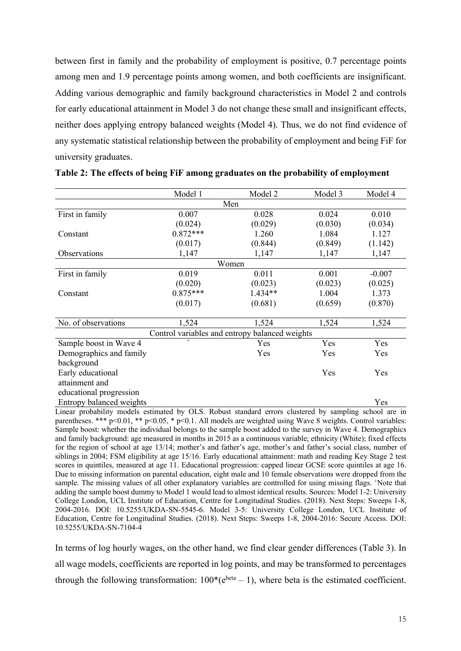between first in family and the probability of employment is positive, 0.7 percentage points among men and 1.9 percentage points among women, and both coefficients are insignificant. Adding various demographic and family background characteristics in Model 2 and controls for early educational attainment in Model 3 do not change these small and insignificant effects, neither does applying entropy balanced weights (Model 4). Thus, we do not find evidence of any systematic statistical relationship between the probability of employment and being FiF for university graduates.

| Model 1    | Model 2                     | Model 3                                                                   | Model 4                                                                         |
|------------|-----------------------------|---------------------------------------------------------------------------|---------------------------------------------------------------------------------|
|            |                             |                                                                           |                                                                                 |
| 0.007      | 0.028                       | 0.024                                                                     | 0.010                                                                           |
| (0.024)    | (0.029)                     | (0.030)                                                                   | (0.034)                                                                         |
| $0.872***$ | 1.260                       | 1.084                                                                     | 1.127                                                                           |
| (0.017)    | (0.844)                     | (0.849)                                                                   | (1.142)                                                                         |
| 1,147      | 1,147                       | 1,147                                                                     | 1,147                                                                           |
|            |                             |                                                                           |                                                                                 |
| 0.019      | 0.011                       | 0.001                                                                     | $-0.007$                                                                        |
| (0.020)    | (0.023)                     | (0.023)                                                                   | (0.025)                                                                         |
| $0.875***$ | 1.434**                     | 1.004                                                                     | 1.373                                                                           |
| (0.017)    | (0.681)                     | (0.659)                                                                   | (0.870)                                                                         |
| 1,524      | 1,524                       | 1,524                                                                     | 1,524                                                                           |
|            |                             |                                                                           |                                                                                 |
| $^{+}$     | Yes                         | Yes                                                                       | Yes                                                                             |
|            | Yes                         | Yes                                                                       | Yes                                                                             |
|            |                             |                                                                           |                                                                                 |
|            |                             | Yes                                                                       | Yes                                                                             |
|            |                             |                                                                           |                                                                                 |
|            |                             |                                                                           |                                                                                 |
|            |                             |                                                                           | Yes                                                                             |
|            | $\sim$ $\sim$ $\sim$ $\sim$ | Men<br>Women<br>$\alpha$ $\alpha$ $\beta$ $\beta$ $\beta$<br>$\mathbf{1}$ | Control variables and entropy balanced weights<br>$\cdot$<br>$1 - 1$<br>$1 - i$ |

**Table 2: The effects of being FiF among graduates on the probability of employment**

Linear probability models estimated by OLS. Robust standard errors clustered by sampling school are in parentheses. \*\*\* p<0.01, \*\* p<0.05, \* p<0.1. All models are weighted using Wave 8 weights. Control variables: Sample boost: whether the individual belongs to the sample boost added to the survey in Wave 4. Demographics and family background: age measured in months in 2015 as a continuous variable; ethnicity (White); fixed effects for the region of school at age 13/14; mother's and father's age, mother's and father's social class, number of siblings in 2004; FSM eligibility at age 15/16. Early educational attainment: math and reading Key Stage 2 test scores in quintiles, measured at age 11. Educational progression: capped linear GCSE score quintiles at age 16. Due to missing information on parental education, eight male and 10 female observations were dropped from the sample. The missing values of all other explanatory variables are controlled for using missing flags. +Note that adding the sample boost dummy to Model 1 would lead to almost identical results. Sources: Model 1-2: University College London, UCL Institute of Education, Centre for Longitudinal Studies. (2018). Next Steps: Sweeps 1-8, 2004-2016. DOI: 10.5255/UKDA-SN-5545-6. Model 3-5: University College London, UCL Institute of Education, Centre for Longitudinal Studies. (2018). Next Steps: Sweeps 1-8, 2004-2016: Secure Access. DOI: 10.5255/UKDA-SN-7104-4

In terms of log hourly wages, on the other hand, we find clear gender differences (Table 3). In all wage models, coefficients are reported in log points, and may be transformed to percentages through the following transformation:  $100^*$ ( $e^{beta}$  – 1), where beta is the estimated coefficient.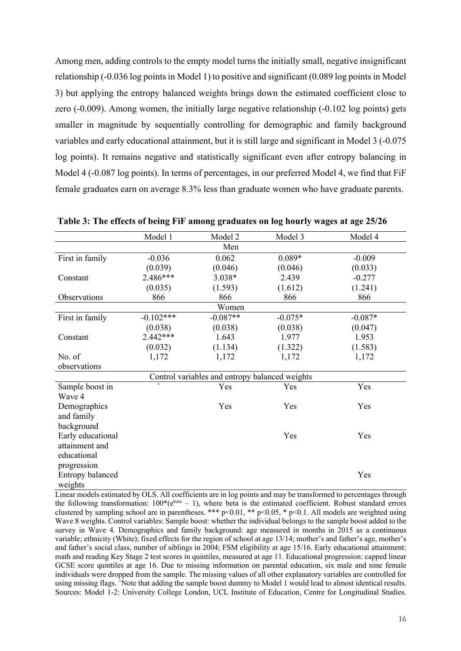Among men, adding controls to the empty model turns the initially small, negative insignificant relationship (-0.036 log points in Model 1) to positive and significant (0.089 log points in Model 3) but applying the entropy balanced weights brings down the estimated coefficient close to zero (-0.009). Among women, the initially large negative relationship (-0.102 log points) gets smaller in magnitude by sequentially controlling for demographic and family background variables and early educational attainment, but it is still large and significant in Model 3 (-0.075 log points). It remains negative and statistically significant even after entropy balancing in Model 4 (-0.087 log points). In terms of percentages, in our preferred Model 4, we find that FiF female graduates earn on average 8.3% less than graduate women who have graduate parents.

|                   | Model 1     | Model 2                                        | Model 3   | Model 4   |
|-------------------|-------------|------------------------------------------------|-----------|-----------|
|                   |             | Men                                            |           |           |
| First in family   | $-0.036$    | 0.062                                          | $0.089*$  | $-0.009$  |
|                   | (0.039)     | (0.046)                                        | (0.046)   | (0.033)   |
| Constant          | 2.486***    | 3.038*                                         | 2.439     | $-0.277$  |
|                   | (0.035)     | (1.593)                                        | (1.612)   | (1.241)   |
| Observations      | 866         | 866                                            | 866       | 866       |
|                   |             | Women                                          |           |           |
| First in family   | $-0.102***$ | $-0.087**$                                     | $-0.075*$ | $-0.087*$ |
|                   | (0.038)     | (0.038)                                        | (0.038)   | (0.047)   |
| Constant          | $2.442***$  | 1.643                                          | 1.977     | 1.953     |
|                   | (0.032)     | (1.134)                                        | (1.322)   | (1.583)   |
| No. of            | 1,172       | 1,172                                          | 1,172     | 1,172     |
| observations      |             |                                                |           |           |
|                   |             | Control variables and entropy balanced weights |           |           |
| Sample boost in   | $+$         | Yes                                            | Yes       | Yes       |
| Wave 4            |             |                                                |           |           |
| Demographics      |             | Yes                                            | Yes       | Yes       |
| and family        |             |                                                |           |           |
| background        |             |                                                |           |           |
| Early educational |             |                                                | Yes       | Yes       |
| attainment and    |             |                                                |           |           |
| educational       |             |                                                |           |           |
| progression       |             |                                                |           |           |
| Entropy balanced  |             |                                                |           | Yes       |
| weights           |             |                                                |           |           |

**Table 3: The effects of being FiF among graduates on log hourly wages at age 25/26**

Linear models estimated by OLS. All coefficients are in log points and may be transformed to percentages through the following transformation:  $100^*(e^{beta} - 1)$ , where beta is the estimated coefficient. Robust standard errors clustered by sampling school are in parentheses. \*\*\*  $p<0.01$ , \*\*  $p<0.05$ , \*  $p<0.1$ . All models are weighted using Wave 8 weights. Control variables: Sample boost: whether the individual belongs to the sample boost added to the survey in Wave 4. Demographics and family background: age measured in months in 2015 as a continuous variable; ethnicity (White); fixed effects for the region of school at age 13/14; mother's and father's age, mother's and father's social class, number of siblings in 2004; FSM eligibility at age 15/16. Early educational attainment: math and reading Key Stage 2 test scores in quintiles, measured at age 11. Educational progression: capped linear GCSE score quintiles at age 16. Due to missing information on parental education, six male and nine female individuals were dropped from the sample. The missing values of all other explanatory variables are controlled for using missing flags. +Note that adding the sample boost dummy to Model 1 would lead to almost identical results. Sources: Model 1-2: University College London, UCL Institute of Education, Centre for Longitudinal Studies.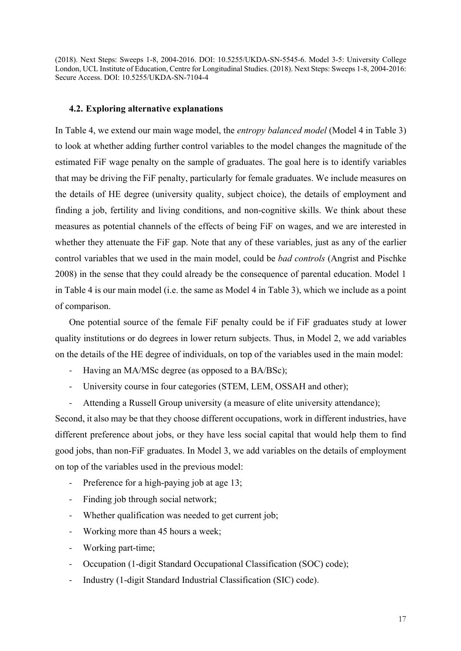(2018). Next Steps: Sweeps 1-8, 2004-2016. DOI: 10.5255/UKDA-SN-5545-6. Model 3-5: University College London, UCL Institute of Education, Centre for Longitudinal Studies. (2018). Next Steps: Sweeps 1-8, 2004-2016: Secure Access. DOI: 10.5255/UKDA-SN-7104-4

## **4.2. Exploring alternative explanations**

In Table 4, we extend our main wage model, the *entropy balanced model* (Model 4 in Table 3) to look at whether adding further control variables to the model changes the magnitude of the estimated FiF wage penalty on the sample of graduates. The goal here is to identify variables that may be driving the FiF penalty, particularly for female graduates. We include measures on the details of HE degree (university quality, subject choice), the details of employment and finding a job, fertility and living conditions, and non-cognitive skills. We think about these measures as potential channels of the effects of being FiF on wages, and we are interested in whether they attenuate the FiF gap. Note that any of these variables, just as any of the earlier control variables that we used in the main model, could be *bad controls* (Angrist and Pischke 2008) in the sense that they could already be the consequence of parental education. Model 1 in Table 4 is our main model (i.e. the same as Model 4 in Table 3), which we include as a point of comparison.

One potential source of the female FiF penalty could be if FiF graduates study at lower quality institutions or do degrees in lower return subjects. Thus, in Model 2, we add variables on the details of the HE degree of individuals, on top of the variables used in the main model:

- Having an MA/MSc degree (as opposed to a BA/BSc);
- University course in four categories (STEM, LEM, OSSAH and other);
- Attending a Russell Group university (a measure of elite university attendance);

Second, it also may be that they choose different occupations, work in different industries, have different preference about jobs, or they have less social capital that would help them to find good jobs, than non-FiF graduates. In Model 3, we add variables on the details of employment on top of the variables used in the previous model:

- Preference for a high-paying job at age 13;
- Finding job through social network;
- Whether qualification was needed to get current job;
- Working more than 45 hours a week;
- Working part-time;
- Occupation (1-digit Standard Occupational Classification (SOC) code);
- Industry (1-digit Standard Industrial Classification (SIC) code).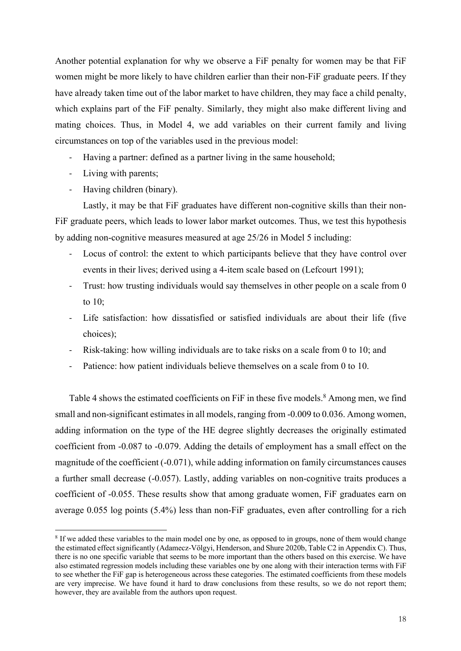Another potential explanation for why we observe a FiF penalty for women may be that FiF women might be more likely to have children earlier than their non-FiF graduate peers. If they have already taken time out of the labor market to have children, they may face a child penalty, which explains part of the FiF penalty. Similarly, they might also make different living and mating choices. Thus, in Model 4, we add variables on their current family and living circumstances on top of the variables used in the previous model:

- Having a partner: defined as a partner living in the same household;
- Living with parents;
- Having children (binary).

Lastly, it may be that FiF graduates have different non-cognitive skills than their non-FiF graduate peers, which leads to lower labor market outcomes. Thus, we test this hypothesis by adding non-cognitive measures measured at age 25/26 in Model 5 including:

- Locus of control: the extent to which participants believe that they have control over events in their lives; derived using a 4-item scale based on (Lefcourt 1991);
- Trust: how trusting individuals would say themselves in other people on a scale from 0 to 10;
- Life satisfaction: how dissatisfied or satisfied individuals are about their life (five choices);
- Risk-taking: how willing individuals are to take risks on a scale from 0 to 10; and
- Patience: how patient individuals believe themselves on a scale from 0 to 10.

Table 4 shows the estimated coefficients on FiF in these five models. <sup>8</sup> Among men, we find small and non-significant estimates in all models, ranging from -0.009 to 0.036. Among women, adding information on the type of the HE degree slightly decreases the originally estimated coefficient from -0.087 to -0.079. Adding the details of employment has a small effect on the magnitude of the coefficient (-0.071), while adding information on family circumstances causes a further small decrease (-0.057). Lastly, adding variables on non-cognitive traits produces a coefficient of -0.055. These results show that among graduate women, FiF graduates earn on average 0.055 log points (5.4%) less than non-FiF graduates, even after controlling for a rich

<sup>&</sup>lt;sup>8</sup> If we added these variables to the main model one by one, as opposed to in groups, none of them would change the estimated effect significantly (Adamecz-Völgyi, Henderson, and Shure 2020b, Table C2 in Appendix C). Thus, there is no one specific variable that seems to be more important than the others based on this exercise. We have also estimated regression models including these variables one by one along with their interaction terms with FiF to see whether the FiF gap is heterogeneous across these categories. The estimated coefficients from these models are very imprecise. We have found it hard to draw conclusions from these results, so we do not report them; however, they are available from the authors upon request.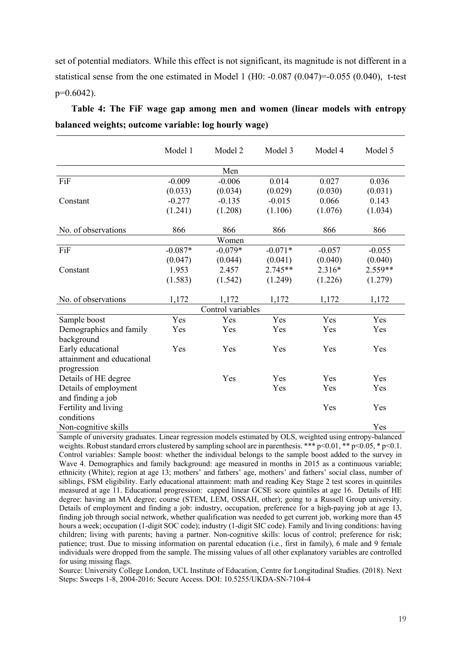set of potential mediators. While this effect is not significant, its magnitude is not different in a statistical sense from the one estimated in Model 1 (H0: -0.087 (0.047)=-0.055 (0.040), t-test p=0.6042).

| Table 4: The FiF wage gap among men and women (linear models with entropy |  |  |  |  |  |  |
|---------------------------------------------------------------------------|--|--|--|--|--|--|
| balanced weights; outcome variable: log hourly wage)                      |  |  |  |  |  |  |

|                            | Model 1   | Model 2           | Model 3   | Model 4  | Model 5  |
|----------------------------|-----------|-------------------|-----------|----------|----------|
|                            |           | Men               |           |          |          |
| FiF                        | $-0.009$  | $-0.006$          | 0.014     | 0.027    | 0.036    |
|                            | (0.033)   | (0.034)           | (0.029)   | (0.030)  | (0.031)  |
| Constant                   | $-0.277$  | $-0.135$          | $-0.015$  | 0.066    | 0.143    |
|                            | (1.241)   | (1.208)           | (1.106)   | (1.076)  | (1.034)  |
| No. of observations        | 866       | 866               | 866       | 866      | 866      |
|                            |           | Women             |           |          |          |
| FiF                        | $-0.087*$ | $-0.079*$         | $-0.071*$ | $-0.057$ | $-0.055$ |
|                            | (0.047)   | (0.044)           | (0.041)   | (0.040)  | (0.040)  |
| Constant                   | 1.953     | 2.457             | $2.745**$ | $2.316*$ | 2.559**  |
|                            | (1.583)   | (1.542)           | (1.249)   | (1.226)  | (1.279)  |
| No. of observations        | 1,172     | 1,172             | 1,172     | 1,172    | 1,172    |
|                            |           | Control variables |           |          |          |
| Sample boost               | Yes       | Yes               | Yes       | Yes      | Yes      |
| Demographics and family    | Yes       | Yes               | Yes       | Yes      | Yes      |
| background                 |           |                   |           |          |          |
| Early educational          | Yes       | Yes               | Yes       | Yes      | Yes      |
| attainment and educational |           |                   |           |          |          |
| progression                |           |                   |           |          |          |
| Details of HE degree       |           | Yes               | Yes       | Yes      | Yes      |
| Details of employment      |           |                   | Yes       | Yes      | Yes      |
| and finding a job          |           |                   |           |          |          |
| Fertility and living       |           |                   |           | Yes      | Yes      |
| conditions                 |           |                   |           |          |          |
| Non-cognitive skills       |           |                   |           |          | Yes      |

Sample of university graduates. Linear regression models estimated by OLS, weighted using entropy-balanced weights. Robust standard errors clustered by sampling school are in parenthesis. \*\*\*  $p \le 0.01$ , \*\*  $p \le 0.05$ , \*  $p \le 0.1$ . Control variables: Sample boost: whether the individual belongs to the sample boost added to the survey in Wave 4. Demographics and family background: age measured in months in 2015 as a continuous variable; ethnicity (White); region at age 13; mothers' and fathers' age, mothers' and fathers' social class, number of siblings, FSM eligibility. Early educational attainment: math and reading Key Stage 2 test scores in quintiles measured at age 11. Educational progression: capped linear GCSE score quintiles at age 16. Details of HE degree: having an MA degree; course (STEM, LEM, OSSAH, other); going to a Russell Group university. Details of employment and finding a job: industry, occupation, preference for a high-paying job at age 13, finding job through social network, whether qualification was needed to get current job, working more than 45 hours a week; occupation (1-digit SOC code); industry (1-digit SIC code). Family and living conditions: having children; living with parents; having a partner. Non-cognitive skills: locus of control; preference for risk; patience; trust. Due to missing information on parental education (i.e., first in family), 6 male and 9 female individuals were dropped from the sample. The missing values of all other explanatory variables are controlled for using missing flags.

Source: University College London, UCL Institute of Education, Centre for Longitudinal Studies. (2018). Next Steps: Sweeps 1-8, 2004-2016: Secure Access. DOI: 10.5255/UKDA-SN-7104-4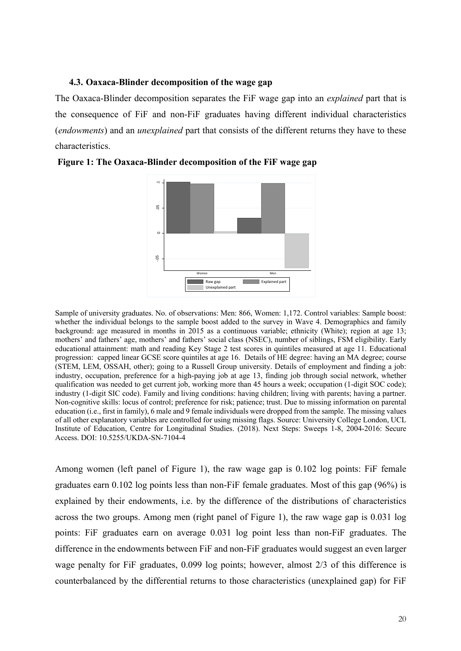### **4.3. Oaxaca-Blinder decomposition of the wage gap**

The Oaxaca-Blinder decomposition separates the FiF wage gap into an *explained* part that is the consequence of FiF and non-FiF graduates having different individual characteristics (*endowments*) and an *unexplained* part that consists of the different returns they have to these characteristics.



**Figure 1: The Oaxaca-Blinder decomposition of the FiF wage gap**

Sample of university graduates. No. of observations: Men: 866, Women: 1,172. Control variables: Sample boost: whether the individual belongs to the sample boost added to the survey in Wave 4. Demographics and family background: age measured in months in 2015 as a continuous variable; ethnicity (White); region at age 13; mothers' and fathers' age, mothers' and fathers' social class (NSEC), number of siblings, FSM eligibility. Early educational attainment: math and reading Key Stage 2 test scores in quintiles measured at age 11. Educational progression: capped linear GCSE score quintiles at age 16. Details of HE degree: having an MA degree; course (STEM, LEM, OSSAH, other); going to a Russell Group university. Details of employment and finding a job: industry, occupation, preference for a high-paying job at age 13, finding job through social network, whether qualification was needed to get current job, working more than 45 hours a week; occupation (1-digit SOC code); industry (1-digit SIC code). Family and living conditions: having children; living with parents; having a partner. Non-cognitive skills: locus of control; preference for risk; patience; trust. Due to missing information on parental education (i.e., first in family), 6 male and 9 female individuals were dropped from the sample. The missing values of all other explanatory variables are controlled for using missing flags. Source: University College London, UCL Institute of Education, Centre for Longitudinal Studies. (2018). Next Steps: Sweeps 1-8, 2004-2016: Secure Access. DOI: 10.5255/UKDA-SN-7104-4 Sannis of university graditates. No. of elsewations: the 866, Women: 1, 172. Control wisibles: Sample bases<br>background: age model and the differential returns to the differential returns to the differential returns to the

Among women (left panel of Figure 1), the raw wage gap is 0.102 log points: FiF female graduates earn 0.102 log points less than non-FiF female graduates. Most of this gap (96%) is explained by their endowments, i.e. by the difference of the distributions of characteristics across the two groups. Among men (right panel of Figure 1), the raw wage gap is 0.031 log points: FiF graduates earn on average 0.031 log point less than non-FiF graduates. The difference in the endowments between FiF and non-FiF graduates would suggest an even larger wage penalty for FiF graduates, 0.099 log points; however, almost 2/3 of this difference is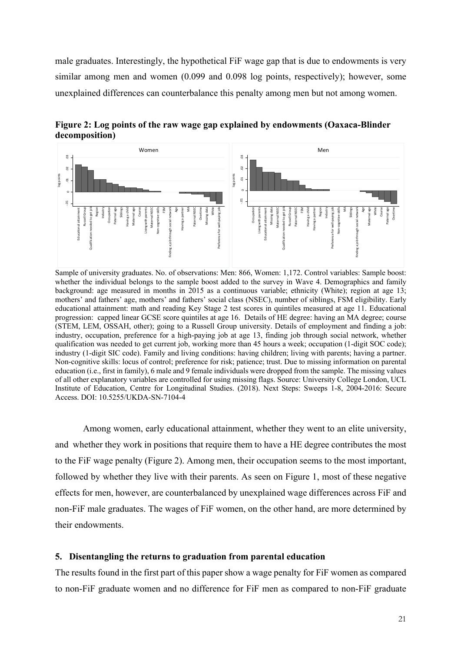male graduates. Interestingly, the hypothetical FiF wage gap that is due to endowments is very similar among men and women (0.099 and 0.098 log points, respectively); however, some unexplained differences can counterbalance this penalty among men but not among women.



**Figure 2: Log points of the raw wage gap explained by endowments (Oaxaca-Blinder decomposition)**

Sample of university graduates. No. of observations: Men: 866, Women: 1,172. Control variables: Sample boost: whether the individual belongs to the sample boost added to the survey in Wave 4. Demographics and family background: age measured in months in 2015 as a continuous variable; ethnicity (White); region at age 13; mothers' and fathers' age, mothers' and fathers' social class (NSEC), number of siblings, FSM eligibility. Early educational attainment: math and reading Key Stage 2 test scores in quintiles measured at age 11. Educational progression: capped linear GCSE score quintiles at age 16. Details of HE degree: having an MA degree; course (STEM, LEM, OSSAH, other); going to a Russell Group university. Details of employment and finding a job: industry, occupation, preference for a high-paying job at age 13, finding job through social network, whether qualification was needed to get current job, working more than 45 hours a week; occupation (1-digit SOC code); industry (1-digit SIC code). Family and living conditions: having children; living with parents; having a partner. Non-cognitive skills: locus of control; preference for risk; patience; trust. Due to missing information on parental education (i.e., first in family), 6 male and 9 female individuals were dropped from the sample. The missing values of all other explanatory variables are controlled for using missing flags. Source: University College London, UCL Institute of Education, Centre for Longitudinal Studies. (2018). Next Steps: Sweeps 1-8, 2004-2016: Secure Access. DOI: 10.5255/UKDA-SN-7104-4 **Example 6.** The set of the set of the set of the set of the set of the set of the set of the set of the set of the set of the set of the set of the set of the set of the set of the set of the set of the set of the set of

Among women, early educational attainment, whether they went to an elite university, and whether they work in positions that require them to have a HE degree contributes the most to the FiF wage penalty (Figure 2). Among men, their occupation seems to the most important, followed by whether they live with their parents. As seen on Figure 1, most of these negative effects for men, however, are counterbalanced by unexplained wage differences across FiF and non-FiF male graduates. The wages of FiF women, on the other hand, are more determined by their endowments.

#### **5. Disentangling the returns to graduation from parental education**

The results found in the first part of this paper show a wage penalty for FiF women as compared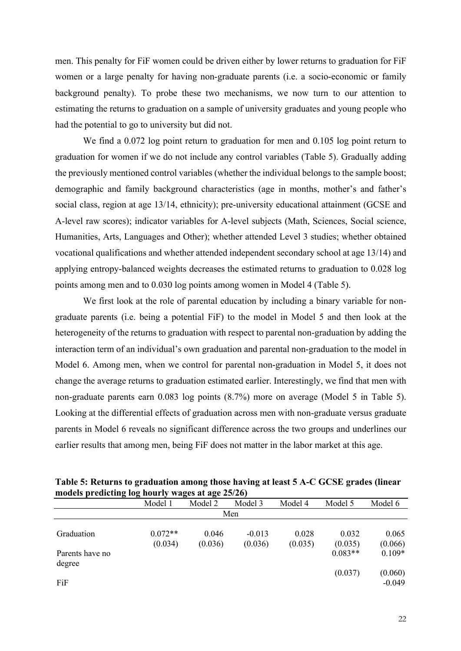men. This penalty for FiF women could be driven either by lower returns to graduation for FiF women or a large penalty for having non-graduate parents (i.e. a socio-economic or family background penalty). To probe these two mechanisms, we now turn to our attention to estimating the returns to graduation on a sample of university graduates and young people who had the potential to go to university but did not.

We find a 0.072 log point return to graduation for men and 0.105 log point return to graduation for women if we do not include any control variables (Table 5). Gradually adding the previously mentioned control variables (whether the individual belongs to the sample boost; demographic and family background characteristics (age in months, mother's and father's social class, region at age 13/14, ethnicity); pre-university educational attainment (GCSE and A-level raw scores); indicator variables for A-level subjects (Math, Sciences, Social science, Humanities, Arts, Languages and Other); whether attended Level 3 studies; whether obtained vocational qualifications and whether attended independent secondary school at age 13/14) and applying entropy-balanced weights decreases the estimated returns to graduation to 0.028 log points among men and to 0.030 log points among women in Model 4 (Table 5).

We first look at the role of parental education by including a binary variable for nongraduate parents (i.e. being a potential FiF) to the model in Model 5 and then look at the heterogeneity of the returns to graduation with respect to parental non-graduation by adding the interaction term of an individual's own graduation and parental non-graduation to the model in Model 6. Among men, when we control for parental non-graduation in Model 5, it does not change the average returns to graduation estimated earlier. Interestingly, we find that men with non-graduate parents earn 0.083 log points (8.7%) more on average (Model 5 in Table 5). Looking at the differential effects of graduation across men with non-graduate versus graduate parents in Model 6 reveals no significant difference across the two groups and underlines our earlier results that among men, being FiF does not matter in the labor market at this age.

| Table 3. Keturns to graduation among those having at least 3 A-C GCSE grades (mical |         |  |                 |         |         |         |  |  |  |
|-------------------------------------------------------------------------------------|---------|--|-----------------|---------|---------|---------|--|--|--|
| models predicting log hourly wages at age 25/26)                                    |         |  |                 |         |         |         |  |  |  |
|                                                                                     | Model 1 |  | Model 2 Model 3 | Model 4 | Model 5 | Model 6 |  |  |  |
|                                                                                     |         |  |                 |         |         |         |  |  |  |

**Table 5: Returns to graduation among those having at least 5 A-C GCSE grades (linear** 

|                           | .                    |                  | .                   | .                | .                | 111000010           |
|---------------------------|----------------------|------------------|---------------------|------------------|------------------|---------------------|
|                           |                      |                  | Men                 |                  |                  |                     |
| Graduation                | $0.072**$<br>(0.034) | 0.046<br>(0.036) | $-0.013$<br>(0.036) | 0.028<br>(0.035) | 0.032<br>(0.035) | 0.065<br>(0.066)    |
| Parents have no<br>degree |                      |                  |                     |                  | $0.083**$        | $0.109*$            |
| FiF                       |                      |                  |                     |                  | (0.037)          | (0.060)<br>$-0.049$ |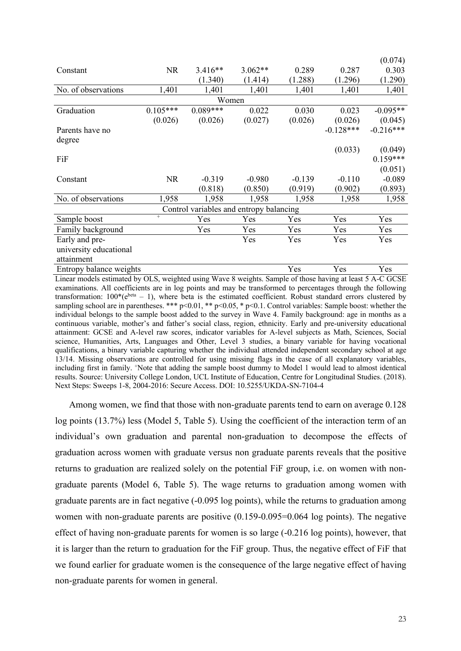|                         |            |                                         |           |          |             | (0.074)     |
|-------------------------|------------|-----------------------------------------|-----------|----------|-------------|-------------|
| Constant                | <b>NR</b>  | $3.416**$                               | $3.062**$ | 0.289    | 0.287       | 0.303       |
|                         |            | (1.340)                                 | (1.414)   | (1.288)  | (1.296)     | (1.290)     |
| No. of observations     | 1,401      | 1,401                                   | 1,401     | 1,401    | 1,401       | 1,401       |
|                         |            | Women                                   |           |          |             |             |
| Graduation              | $0.105***$ | $0.089***$                              | 0.022     | 0.030    | 0.023       | $-0.095**$  |
|                         | (0.026)    | (0.026)                                 | (0.027)   | (0.026)  | (0.026)     | (0.045)     |
| Parents have no         |            |                                         |           |          | $-0.128***$ | $-0.216***$ |
| degree                  |            |                                         |           |          |             |             |
|                         |            |                                         |           |          | (0.033)     | (0.049)     |
| FiF                     |            |                                         |           |          |             | $0.159***$  |
|                         |            |                                         |           |          |             | (0.051)     |
| Constant                | <b>NR</b>  | $-0.319$                                | $-0.980$  | $-0.139$ | $-0.110$    | $-0.089$    |
|                         |            | (0.818)                                 | (0.850)   | (0.919)  | (0.902)     | (0.893)     |
| No. of observations     | 1,958      | 1,958                                   | 1,958     | 1,958    | 1,958       | 1,958       |
|                         |            | Control variables and entropy balancing |           |          |             |             |
| Sample boost            | $+$        | Yes                                     | Yes       | Yes      | Yes         | Yes         |
| Family background       |            | Yes                                     | Yes       | Yes      | Yes         | Yes         |
| Early and pre-          |            |                                         | Yes       | Yes      | Yes         | Yes         |
| university educational  |            |                                         |           |          |             |             |
| attainment              |            |                                         |           |          |             |             |
| Entropy balance weights |            |                                         |           | Yes      | Yes         | Yes         |

Linear models estimated by OLS, weighted using Wave 8 weights. Sample of those having at least 5 A-C GCSE examinations. All coefficients are in log points and may be transformed to percentages through the following transformation:  $100^*(e^{beta} - 1)$ , where beta is the estimated coefficient. Robust standard errors clustered by sampling school are in parentheses. \*\*\*  $p<0.01$ , \*\*  $p<0.05$ , \*  $p<0.1$ . Control variables: Sample boost: whether the individual belongs to the sample boost added to the survey in Wave 4. Family background: age in months as a continuous variable, mother's and father's social class, region, ethnicity. Early and pre-university educational attainment: GCSE and A-level raw scores, indicator variables for A-level subjects as Math, Sciences, Social science, Humanities, Arts, Languages and Other, Level 3 studies, a binary variable for having vocational qualifications, a binary variable capturing whether the individual attended independent secondary school at age 13/14. Missing observations are controlled for using missing flags in the case of all explanatory variables, including first in family. <sup>+</sup>Note that adding the sample boost dummy to Model 1 would lead to almost identical results. Source: University College London, UCL Institute of Education, Centre for Longitudinal Studies. (2018). Next Steps: Sweeps 1-8, 2004-2016: Secure Access. DOI: 10.5255/UKDA-SN-7104-4

Among women, we find that those with non-graduate parents tend to earn on average 0.128 log points (13.7%) less (Model 5, Table 5). Using the coefficient of the interaction term of an individual's own graduation and parental non-graduation to decompose the effects of graduation across women with graduate versus non graduate parents reveals that the positive returns to graduation are realized solely on the potential FiF group, i.e. on women with nongraduate parents (Model 6, Table 5). The wage returns to graduation among women with graduate parents are in fact negative (-0.095 log points), while the returns to graduation among women with non-graduate parents are positive (0.159-0.095=0.064 log points). The negative effect of having non-graduate parents for women is so large (-0.216 log points), however, that it is larger than the return to graduation for the FiF group. Thus, the negative effect of FiF that we found earlier for graduate women is the consequence of the large negative effect of having non-graduate parents for women in general.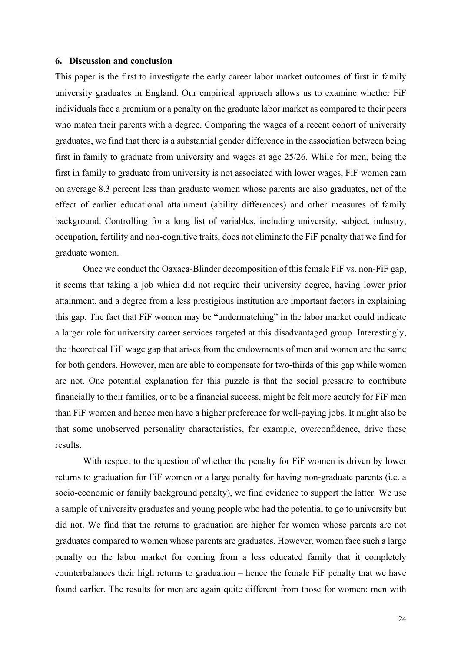#### **6. Discussion and conclusion**

This paper is the first to investigate the early career labor market outcomes of first in family university graduates in England. Our empirical approach allows us to examine whether FiF individuals face a premium or a penalty on the graduate labor market as compared to their peers who match their parents with a degree. Comparing the wages of a recent cohort of university graduates, we find that there is a substantial gender difference in the association between being first in family to graduate from university and wages at age 25/26. While for men, being the first in family to graduate from university is not associated with lower wages, FiF women earn on average 8.3 percent less than graduate women whose parents are also graduates, net of the effect of earlier educational attainment (ability differences) and other measures of family background. Controlling for a long list of variables, including university, subject, industry, occupation, fertility and non-cognitive traits, does not eliminate the FiF penalty that we find for graduate women.

Once we conduct the Oaxaca-Blinder decomposition of this female FiF vs. non-FiF gap, it seems that taking a job which did not require their university degree, having lower prior attainment, and a degree from a less prestigious institution are important factors in explaining this gap. The fact that FiF women may be "undermatching" in the labor market could indicate a larger role for university career services targeted at this disadvantaged group. Interestingly, the theoretical FiF wage gap that arises from the endowments of men and women are the same for both genders. However, men are able to compensate for two-thirds of this gap while women are not. One potential explanation for this puzzle is that the social pressure to contribute financially to their families, or to be a financial success, might be felt more acutely for FiF men than FiF women and hence men have a higher preference for well-paying jobs. It might also be that some unobserved personality characteristics, for example, overconfidence, drive these results.

With respect to the question of whether the penalty for FiF women is driven by lower returns to graduation for FiF women or a large penalty for having non-graduate parents (i.e. a socio-economic or family background penalty), we find evidence to support the latter. We use a sample of university graduates and young people who had the potential to go to university but did not. We find that the returns to graduation are higher for women whose parents are not graduates compared to women whose parents are graduates. However, women face such a large penalty on the labor market for coming from a less educated family that it completely counterbalances their high returns to graduation – hence the female FiF penalty that we have found earlier. The results for men are again quite different from those for women: men with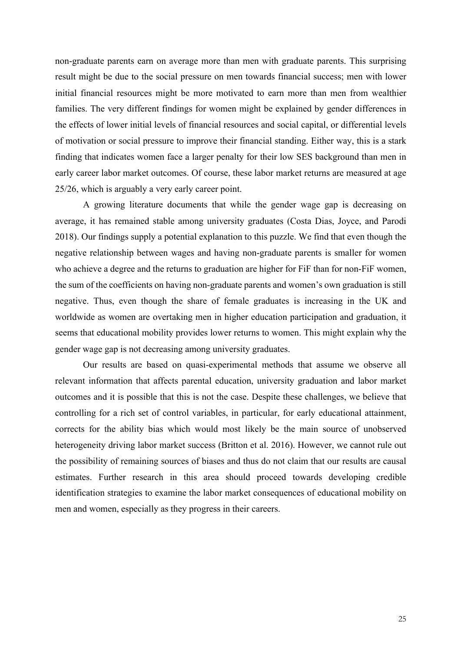non-graduate parents earn on average more than men with graduate parents. This surprising result might be due to the social pressure on men towards financial success; men with lower initial financial resources might be more motivated to earn more than men from wealthier families. The very different findings for women might be explained by gender differences in the effects of lower initial levels of financial resources and social capital, or differential levels of motivation or social pressure to improve their financial standing. Either way, this is a stark finding that indicates women face a larger penalty for their low SES background than men in early career labor market outcomes. Of course, these labor market returns are measured at age 25/26, which is arguably a very early career point.

A growing literature documents that while the gender wage gap is decreasing on average, it has remained stable among university graduates (Costa Dias, Joyce, and Parodi 2018). Our findings supply a potential explanation to this puzzle. We find that even though the negative relationship between wages and having non-graduate parents is smaller for women who achieve a degree and the returns to graduation are higher for FiF than for non-FiF women, the sum of the coefficients on having non-graduate parents and women's own graduation is still negative. Thus, even though the share of female graduates is increasing in the UK and worldwide as women are overtaking men in higher education participation and graduation, it seems that educational mobility provides lower returns to women. This might explain why the gender wage gap is not decreasing among university graduates.

Our results are based on quasi-experimental methods that assume we observe all relevant information that affects parental education, university graduation and labor market outcomes and it is possible that this is not the case. Despite these challenges, we believe that controlling for a rich set of control variables, in particular, for early educational attainment, corrects for the ability bias which would most likely be the main source of unobserved heterogeneity driving labor market success (Britton et al. 2016). However, we cannot rule out the possibility of remaining sources of biases and thus do not claim that our results are causal estimates. Further research in this area should proceed towards developing credible identification strategies to examine the labor market consequences of educational mobility on men and women, especially as they progress in their careers.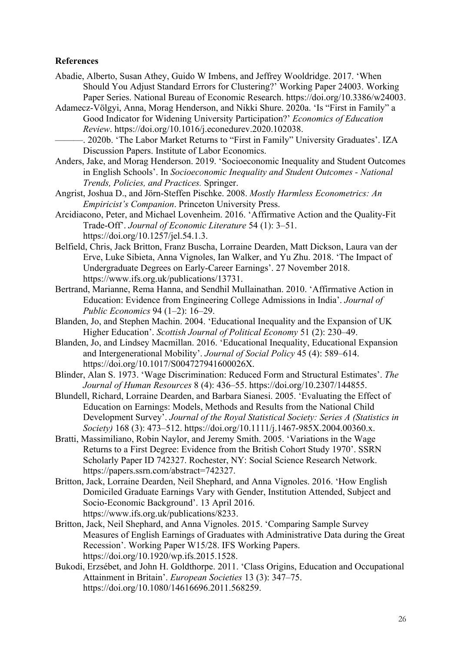## **References**

- Abadie, Alberto, Susan Athey, Guido W Imbens, and Jeffrey Wooldridge. 2017. 'When Should You Adjust Standard Errors for Clustering?' Working Paper 24003. Working Paper Series. National Bureau of Economic Research. https://doi.org/10.3386/w24003.
- Adamecz-Völgyi, Anna, Morag Henderson, and Nikki Shure. 2020a. 'Is "First in Family" a Good Indicator for Widening University Participation?' *Economics of Education Review*. https://doi.org/10.1016/j.econedurev.2020.102038.
	- -. 2020b. 'The Labor Market Returns to "First in Family" University Graduates'. IZA Discussion Papers. Institute of Labor Economics.
- Anders, Jake, and Morag Henderson. 2019. 'Socioeconomic Inequality and Student Outcomes in English Schools'. In *Socioeconomic Inequality and Student Outcomes - National Trends, Policies, and Practices.* Springer.
- Angrist, Joshua D., and Jörn-Steffen Pischke. 2008. *Mostly Harmless Econometrics: An Empiricist's Companion*. Princeton University Press.
- Arcidiacono, Peter, and Michael Lovenheim. 2016. 'Affirmative Action and the Quality-Fit Trade-Off'. *Journal of Economic Literature* 54 (1): 3–51. https://doi.org/10.1257/jel.54.1.3.
- Belfield, Chris, Jack Britton, Franz Buscha, Lorraine Dearden, Matt Dickson, Laura van der Erve, Luke Sibieta, Anna Vignoles, Ian Walker, and Yu Zhu. 2018. 'The Impact of Undergraduate Degrees on Early-Career Earnings'. 27 November 2018. https://www.ifs.org.uk/publications/13731.
- Bertrand, Marianne, Rema Hanna, and Sendhil Mullainathan. 2010. 'Affirmative Action in Education: Evidence from Engineering College Admissions in India'. *Journal of Public Economics* 94 (1–2): 16–29.
- Blanden, Jo, and Stephen Machin. 2004. 'Educational Inequality and the Expansion of UK Higher Education'. *Scottish Journal of Political Economy* 51 (2): 230–49.
- Blanden, Jo, and Lindsey Macmillan. 2016. 'Educational Inequality, Educational Expansion and Intergenerational Mobility'. *Journal of Social Policy* 45 (4): 589–614. https://doi.org/10.1017/S004727941600026X.
- Blinder, Alan S. 1973. 'Wage Discrimination: Reduced Form and Structural Estimates'. *The Journal of Human Resources* 8 (4): 436–55. https://doi.org/10.2307/144855.
- Blundell, Richard, Lorraine Dearden, and Barbara Sianesi. 2005. 'Evaluating the Effect of Education on Earnings: Models, Methods and Results from the National Child Development Survey'. *Journal of the Royal Statistical Society: Series A (Statistics in Society)* 168 (3): 473–512. https://doi.org/10.1111/j.1467-985X.2004.00360.x.
- Bratti, Massimiliano, Robin Naylor, and Jeremy Smith. 2005. 'Variations in the Wage Returns to a First Degree: Evidence from the British Cohort Study 1970'. SSRN Scholarly Paper ID 742327. Rochester, NY: Social Science Research Network. https://papers.ssrn.com/abstract=742327.
- Britton, Jack, Lorraine Dearden, Neil Shephard, and Anna Vignoles. 2016. 'How English Domiciled Graduate Earnings Vary with Gender, Institution Attended, Subject and Socio-Economic Background'. 13 April 2016. https://www.ifs.org.uk/publications/8233.
- Britton, Jack, Neil Shephard, and Anna Vignoles. 2015. 'Comparing Sample Survey Measures of English Earnings of Graduates with Administrative Data during the Great Recession'. Working Paper W15/28. IFS Working Papers. https://doi.org/10.1920/wp.ifs.2015.1528.
- Bukodi, Erzsébet, and John H. Goldthorpe. 2011. 'Class Origins, Education and Occupational Attainment in Britain'. *European Societies* 13 (3): 347–75. https://doi.org/10.1080/14616696.2011.568259.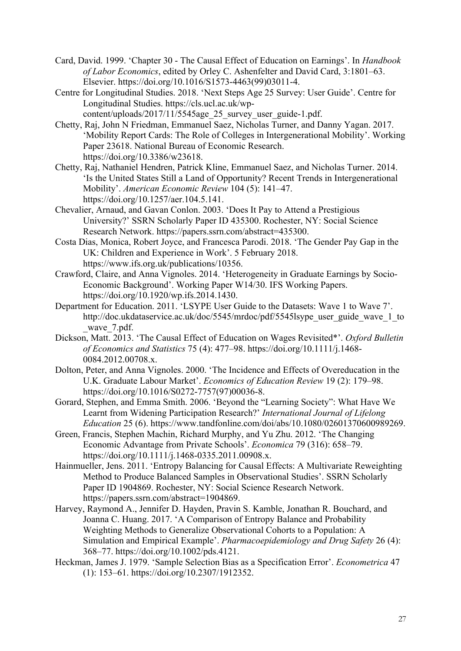- Card, David. 1999. 'Chapter 30 The Causal Effect of Education on Earnings'. In *Handbook of Labor Economics*, edited by Orley C. Ashenfelter and David Card, 3:1801–63. Elsevier. https://doi.org/10.1016/S1573-4463(99)03011-4.
- Centre for Longitudinal Studies. 2018. 'Next Steps Age 25 Survey: User Guide'. Centre for Longitudinal Studies. https://cls.ucl.ac.uk/wpcontent/uploads/2017/11/5545age\_25\_survey\_user\_guide-1.pdf.
- Chetty, Raj, John N Friedman, Emmanuel Saez, Nicholas Turner, and Danny Yagan. 2017. 'Mobility Report Cards: The Role of Colleges in Intergenerational Mobility'. Working Paper 23618. National Bureau of Economic Research. https://doi.org/10.3386/w23618.
- Chetty, Raj, Nathaniel Hendren, Patrick Kline, Emmanuel Saez, and Nicholas Turner. 2014. 'Is the United States Still a Land of Opportunity? Recent Trends in Intergenerational Mobility'. *American Economic Review* 104 (5): 141–47. https://doi.org/10.1257/aer.104.5.141.
- Chevalier, Arnaud, and Gavan Conlon. 2003. 'Does It Pay to Attend a Prestigious University?' SSRN Scholarly Paper ID 435300. Rochester, NY: Social Science Research Network. https://papers.ssrn.com/abstract=435300.
- Costa Dias, Monica, Robert Joyce, and Francesca Parodi. 2018. 'The Gender Pay Gap in the UK: Children and Experience in Work'. 5 February 2018. https://www.ifs.org.uk/publications/10356.
- Crawford, Claire, and Anna Vignoles. 2014. 'Heterogeneity in Graduate Earnings by Socio-Economic Background'. Working Paper W14/30. IFS Working Papers. https://doi.org/10.1920/wp.ifs.2014.1430.
- Department for Education. 2011. 'LSYPE User Guide to the Datasets: Wave 1 to Wave 7'. http://doc.ukdataservice.ac.uk/doc/5545/mrdoc/pdf/5545lsype\_user\_guide\_wave\_1\_to wave 7.pdf.
- Dickson, Matt. 2013. 'The Causal Effect of Education on Wages Revisited\*'. *Oxford Bulletin of Economics and Statistics* 75 (4): 477–98. https://doi.org/10.1111/j.1468- 0084.2012.00708.x.
- Dolton, Peter, and Anna Vignoles. 2000. 'The Incidence and Effects of Overeducation in the U.K. Graduate Labour Market'. *Economics of Education Review* 19 (2): 179–98. https://doi.org/10.1016/S0272-7757(97)00036-8.
- Gorard, Stephen, and Emma Smith. 2006. 'Beyond the "Learning Society": What Have We Learnt from Widening Participation Research?' *International Journal of Lifelong Education* 25 (6). https://www.tandfonline.com/doi/abs/10.1080/02601370600989269.
- Green, Francis, Stephen Machin, Richard Murphy, and Yu Zhu. 2012. 'The Changing Economic Advantage from Private Schools'. *Economica* 79 (316): 658–79. https://doi.org/10.1111/j.1468-0335.2011.00908.x.
- Hainmueller, Jens. 2011. 'Entropy Balancing for Causal Effects: A Multivariate Reweighting Method to Produce Balanced Samples in Observational Studies'. SSRN Scholarly Paper ID 1904869. Rochester, NY: Social Science Research Network. https://papers.ssrn.com/abstract=1904869.
- Harvey, Raymond A., Jennifer D. Hayden, Pravin S. Kamble, Jonathan R. Bouchard, and Joanna C. Huang. 2017. 'A Comparison of Entropy Balance and Probability Weighting Methods to Generalize Observational Cohorts to a Population: A Simulation and Empirical Example'. *Pharmacoepidemiology and Drug Safety* 26 (4): 368–77. https://doi.org/10.1002/pds.4121.
- Heckman, James J. 1979. 'Sample Selection Bias as a Specification Error'. *Econometrica* 47 (1): 153–61. https://doi.org/10.2307/1912352.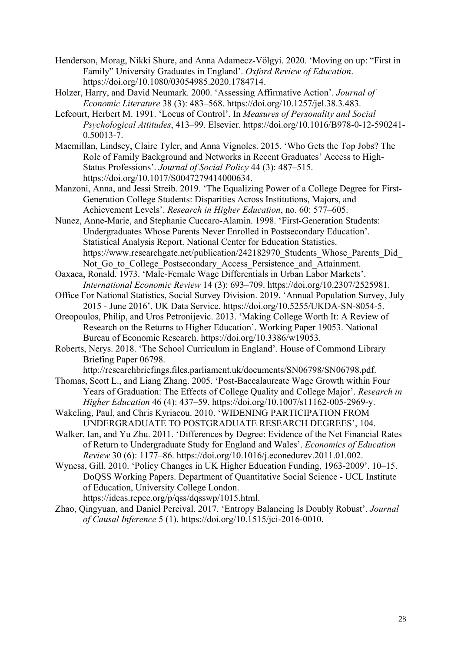- Henderson, Morag, Nikki Shure, and Anna Adamecz-Völgyi. 2020. 'Moving on up: "First in Family" University Graduates in England'. *Oxford Review of Education*. https://doi.org/10.1080/03054985.2020.1784714.
- Holzer, Harry, and David Neumark. 2000. 'Assessing Affirmative Action'. *Journal of Economic Literature* 38 (3): 483–568. https://doi.org/10.1257/jel.38.3.483.
- Lefcourt, Herbert M. 1991. 'Locus of Control'. In *Measures of Personality and Social Psychological Attitudes*, 413–99. Elsevier. https://doi.org/10.1016/B978-0-12-590241-  $0.50013 - 7.$
- Macmillan, Lindsey, Claire Tyler, and Anna Vignoles. 2015. 'Who Gets the Top Jobs? The Role of Family Background and Networks in Recent Graduates' Access to High-Status Professions'. *Journal of Social Policy* 44 (3): 487–515. https://doi.org/10.1017/S0047279414000634.
- Manzoni, Anna, and Jessi Streib. 2019. 'The Equalizing Power of a College Degree for First-Generation College Students: Disparities Across Institutions, Majors, and Achievement Levels'. *Research in Higher Education*, no. 60: 577–605.
- Nunez, Anne-Marie, and Stephanie Cuccaro-Alamin. 1998. 'First-Generation Students: Undergraduates Whose Parents Never Enrolled in Postsecondary Education'. Statistical Analysis Report. National Center for Education Statistics. https://www.researchgate.net/publication/242182970\_Students\_Whose\_Parents\_Did Not Go to College Postsecondary Access Persistence and Attainment.
- Oaxaca, Ronald. 1973. 'Male-Female Wage Differentials in Urban Labor Markets'. *International Economic Review* 14 (3): 693–709. https://doi.org/10.2307/2525981.
- Office For National Statistics, Social Survey Division. 2019. 'Annual Population Survey, July 2015 - June 2016'. UK Data Service. https://doi.org/10.5255/UKDA-SN-8054-5.
- Oreopoulos, Philip, and Uros Petronijevic. 2013. 'Making College Worth It: A Review of Research on the Returns to Higher Education'. Working Paper 19053. National Bureau of Economic Research. https://doi.org/10.3386/w19053.
- Roberts, Nerys. 2018. 'The School Curriculum in England'. House of Commond Library Briefing Paper 06798.

http://researchbriefings.files.parliament.uk/documents/SN06798/SN06798.pdf.

- Thomas, Scott L., and Liang Zhang. 2005. 'Post-Baccalaureate Wage Growth within Four Years of Graduation: The Effects of College Quality and College Major'. *Research in Higher Education* 46 (4): 437–59. https://doi.org/10.1007/s11162-005-2969-y.
- Wakeling, Paul, and Chris Kyriacou. 2010. 'WIDENING PARTICIPATION FROM UNDERGRADUATE TO POSTGRADUATE RESEARCH DEGREES', 104.
- Walker, Ian, and Yu Zhu. 2011. 'Differences by Degree: Evidence of the Net Financial Rates of Return to Undergraduate Study for England and Wales'. *Economics of Education Review* 30 (6): 1177–86. https://doi.org/10.1016/j.econedurev.2011.01.002.
- Wyness, Gill. 2010. 'Policy Changes in UK Higher Education Funding, 1963-2009'. 10–15. DoQSS Working Papers. Department of Quantitative Social Science - UCL Institute of Education, University College London.
	- https://ideas.repec.org/p/qss/dqsswp/1015.html.
- Zhao, Qingyuan, and Daniel Percival. 2017. 'Entropy Balancing Is Doubly Robust'. *Journal of Causal Inference* 5 (1). https://doi.org/10.1515/jci-2016-0010.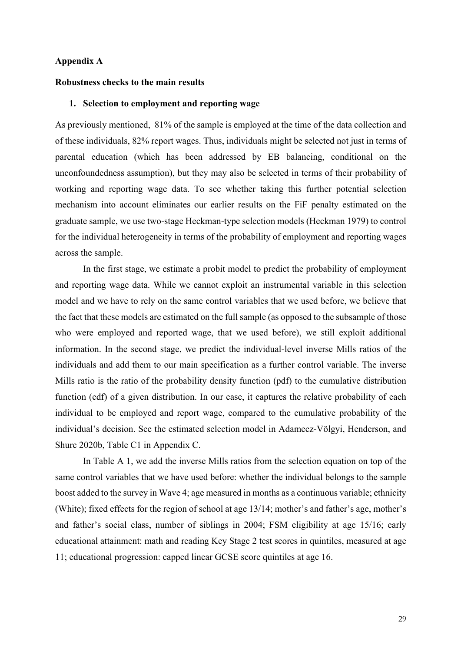## **Appendix A**

#### **Robustness checks to the main results**

#### **1. Selection to employment and reporting wage**

As previously mentioned, 81% of the sample is employed at the time of the data collection and of these individuals, 82% report wages. Thus, individuals might be selected not just in terms of parental education (which has been addressed by EB balancing, conditional on the unconfoundedness assumption), but they may also be selected in terms of their probability of working and reporting wage data. To see whether taking this further potential selection mechanism into account eliminates our earlier results on the FiF penalty estimated on the graduate sample, we use two-stage Heckman-type selection models (Heckman 1979) to control for the individual heterogeneity in terms of the probability of employment and reporting wages across the sample.

In the first stage, we estimate a probit model to predict the probability of employment and reporting wage data. While we cannot exploit an instrumental variable in this selection model and we have to rely on the same control variables that we used before, we believe that the fact that these models are estimated on the full sample (as opposed to the subsample of those who were employed and reported wage, that we used before), we still exploit additional information. In the second stage, we predict the individual-level inverse Mills ratios of the individuals and add them to our main specification as a further control variable. The inverse Mills ratio is the ratio of the probability density function (pdf) to the cumulative distribution function (cdf) of a given distribution. In our case, it captures the relative probability of each individual to be employed and report wage, compared to the cumulative probability of the individual's decision. See the estimated selection model in Adamecz-Völgyi, Henderson, and Shure 2020b, Table C1 in Appendix C.

In Table A 1, we add the inverse Mills ratios from the selection equation on top of the same control variables that we have used before: whether the individual belongs to the sample boost added to the survey in Wave 4; age measured in months as a continuous variable; ethnicity (White); fixed effects for the region of school at age 13/14; mother's and father's age, mother's and father's social class, number of siblings in 2004; FSM eligibility at age 15/16; early educational attainment: math and reading Key Stage 2 test scores in quintiles, measured at age 11; educational progression: capped linear GCSE score quintiles at age 16.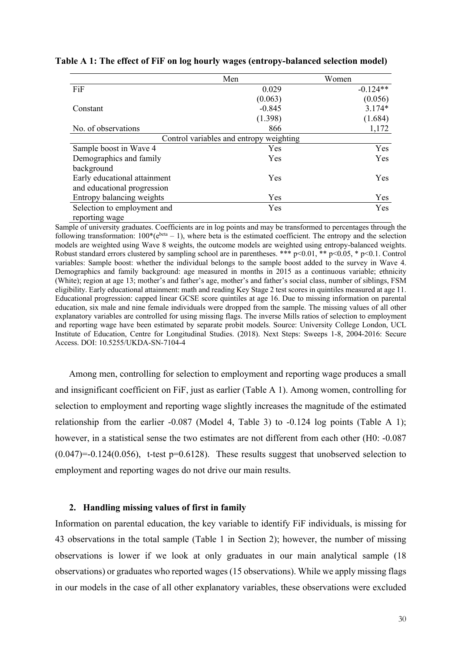|                              | Men                                     | Women      |
|------------------------------|-----------------------------------------|------------|
| FiF                          | 0.029                                   | $-0.124**$ |
|                              | (0.063)                                 | (0.056)    |
| Constant                     | $-0.845$                                | $3.174*$   |
|                              | (1.398)                                 | (1.684)    |
| No. of observations          | 866                                     | 1,172      |
|                              | Control variables and entropy weighting |            |
| Sample boost in Wave 4       | Yes                                     | Yes        |
| Demographics and family      | Yes                                     | Yes        |
| background                   |                                         |            |
| Early educational attainment | Yes                                     | Yes        |
| and educational progression  |                                         |            |
| Entropy balancing weights    | Yes                                     | Yes        |
| Selection to employment and  | Yes                                     | Yes        |
| reporting wage               |                                         |            |

**Table A 1: The effect of FiF on log hourly wages (entropy-balanced selection model)**

Sample of university graduates. Coefficients are in log points and may be transformed to percentages through the following transformation:  $100^*(e^{beta} - 1)$ , where beta is the estimated coefficient. The entropy and the selection models are weighted using Wave 8 weights, the outcome models are weighted using entropy-balanced weights. Robust standard errors clustered by sampling school are in parentheses. \*\*\*  $p \le 0.01$ , \*\*  $p \le 0.05$ , \*  $p \le 0.1$ . Control variables: Sample boost: whether the individual belongs to the sample boost added to the survey in Wave 4. Demographics and family background: age measured in months in 2015 as a continuous variable; ethnicity (White); region at age 13; mother's and father's age, mother's and father's social class, number of siblings, FSM eligibility. Early educational attainment: math and reading Key Stage 2 test scores in quintiles measured at age 11. Educational progression: capped linear GCSE score quintiles at age 16. Due to missing information on parental education, six male and nine female individuals were dropped from the sample. The missing values of all other explanatory variables are controlled for using missing flags. The inverse Mills ratios of selection to employment and reporting wage have been estimated by separate probit models. Source: University College London, UCL Institute of Education, Centre for Longitudinal Studies. (2018). Next Steps: Sweeps 1-8, 2004-2016: Secure Access. DOI: 10.5255/UKDA-SN-7104-4

Among men, controlling for selection to employment and reporting wage produces a small and insignificant coefficient on FiF, just as earlier (Table A 1). Among women, controlling for selection to employment and reporting wage slightly increases the magnitude of the estimated relationship from the earlier -0.087 (Model 4, Table 3) to -0.124 log points (Table A 1); however, in a statistical sense the two estimates are not different from each other (H0: -0.087)  $(0.047) = -0.124(0.056)$ , t-test p=0.6128). These results suggest that unobserved selection to employment and reporting wages do not drive our main results.

## **2. Handling missing values of first in family**

Information on parental education, the key variable to identify FiF individuals, is missing for 43 observations in the total sample (Table 1 in Section 2); however, the number of missing observations is lower if we look at only graduates in our main analytical sample (18 observations) or graduates who reported wages (15 observations). While we apply missing flags in our models in the case of all other explanatory variables, these observations were excluded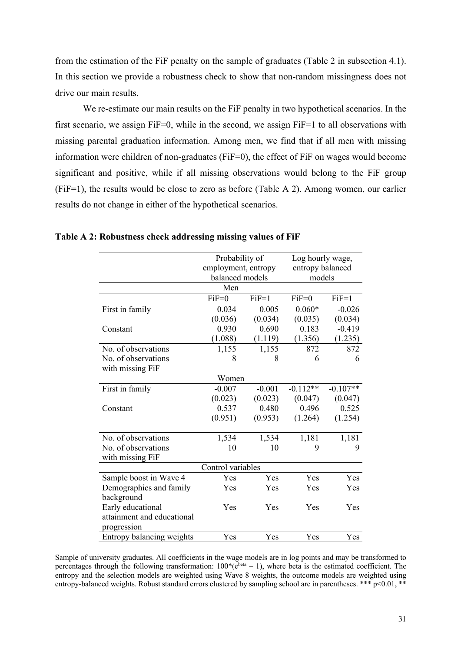from the estimation of the FiF penalty on the sample of graduates (Table 2 in subsection 4.1). In this section we provide a robustness check to show that non-random missingness does not drive our main results.

We re-estimate our main results on the FiF penalty in two hypothetical scenarios. In the first scenario, we assign FiF=0, while in the second, we assign FiF=1 to all observations with missing parental graduation information. Among men, we find that if all men with missing information were children of non-graduates (FiF=0), the effect of FiF on wages would become significant and positive, while if all missing observations would belong to the FiF group (FiF=1), the results would be close to zero as before (Table A 2). Among women, our earlier results do not change in either of the hypothetical scenarios.

|                            | Probability of    |                     | Log hourly wage, |                  |  |
|----------------------------|-------------------|---------------------|------------------|------------------|--|
|                            |                   | employment, entropy |                  | entropy balanced |  |
|                            | balanced models   |                     | models           |                  |  |
|                            | Men               |                     |                  |                  |  |
|                            | $FiF=0$           | $FiF=1$             | $FiF=0$          | $FiF=1$          |  |
| First in family            | 0.034             | 0.005               | $0.060*$         | $-0.026$         |  |
|                            | (0.036)           | (0.034)             | (0.035)          | (0.034)          |  |
| Constant                   | 0.930             | 0.690               | 0.183            | $-0.419$         |  |
|                            | (1.088)           | (1.119)             | (1.356)          | (1.235)          |  |
| No. of observations        | 1,155             | 1,155               | 872              | 872              |  |
| No. of observations        | 8                 | 8                   | 6                | 6                |  |
| with missing FiF           |                   |                     |                  |                  |  |
|                            | Women             |                     |                  |                  |  |
| First in family            | $-0.007$          | $-0.001$            | $-0.112**$       | $-0.107**$       |  |
|                            | (0.023)           | (0.023)             | (0.047)          | (0.047)          |  |
| Constant                   | 0.537             | 0.480               | 0.496            | 0.525            |  |
|                            | (0.951)           | (0.953)             | (1.264)          | (1.254)          |  |
|                            |                   |                     |                  |                  |  |
| No. of observations        | 1,534             | 1,534               | 1,181            | 1,181            |  |
| No. of observations        | 10                | 10                  | 9                | 9                |  |
| with missing FiF           |                   |                     |                  |                  |  |
|                            | Control variables |                     |                  |                  |  |
| Sample boost in Wave 4     | Yes               | Yes                 | Yes              | Yes              |  |
| Demographics and family    | Yes               | Yes                 | Yes              | Yes              |  |
| background                 |                   |                     |                  |                  |  |
| Early educational          | Yes               | Yes                 | Yes              | Yes              |  |
| attainment and educational |                   |                     |                  |                  |  |
| progression                |                   |                     |                  |                  |  |
| Entropy balancing weights  | Yes               | Yes                 | Yes              | Yes              |  |

**Table A 2: Robustness check addressing missing values of FiF** 

Sample of university graduates. All coefficients in the wage models are in log points and may be transformed to percentages through the following transformation:  $100*(e^{beta} - 1)$ , where beta is the estimated coefficient. The entropy and the selection models are weighted using Wave 8 weights, the outcome models are weighted using entropy-balanced weights. Robust standard errors clustered by sampling school are in parentheses. \*\*\* p<0.01, \*\*